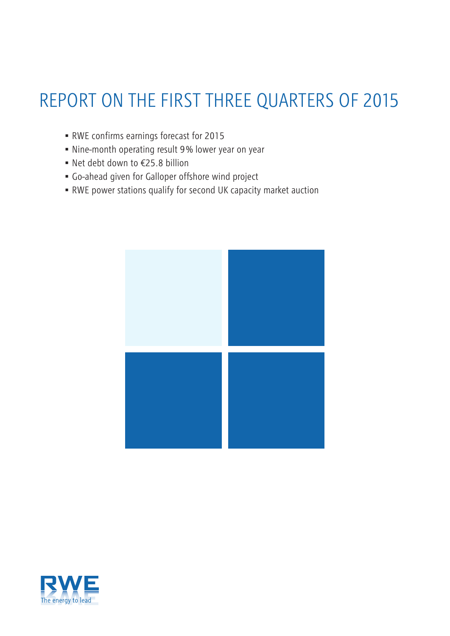# REPORT ON THE FIRST THREE QUARTERS OF 2015

- RWE confirms earnings forecast for 2015
- Nine-month operating result 9 % lower year on year
- Net debt down to €25.8 billion
- Go-ahead given for Galloper offshore wind project
- RWE power stations qualify for second UK capacity market auction



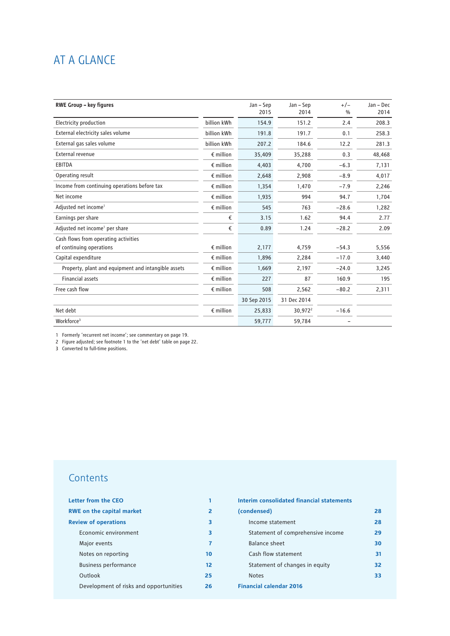## AT A GLANCE

| <b>RWE Group - key figures</b>                      |                    | Jan - Sep   | Jan - Sep   | $+/-$         | Jan - Dec |
|-----------------------------------------------------|--------------------|-------------|-------------|---------------|-----------|
|                                                     |                    | 2015        | 2014        | $\frac{0}{0}$ | 2014      |
| Electricity production                              | billion kWh        | 154.9       | 151.2       | 2.4           | 208.3     |
| External electricity sales volume                   | billion kWh        | 191.8       | 191.7       | 0.1           | 258.3     |
| External gas sales volume                           | billion kWh        | 207.2       | 184.6       | 12.2          | 281.3     |
| External revenue                                    | $\epsilon$ million | 35,409      | 35,288      | 0.3           | 48,468    |
| <b>EBITDA</b>                                       | $\epsilon$ million | 4,403       | 4,700       | $-6.3$        | 7,131     |
| Operating result                                    | $\epsilon$ million | 2,648       | 2,908       | $-8.9$        | 4,017     |
| Income from continuing operations before tax        | $\epsilon$ million | 1,354       | 1,470       | $-7.9$        | 2,246     |
| Net income                                          | $\epsilon$ million | 1,935       | 994         | 94.7          | 1,704     |
| Adjusted net income <sup>1</sup>                    | $\epsilon$ million | 545         | 763         | $-28.6$       | 1,282     |
| Earnings per share                                  | €                  | 3.15        | 1.62        | 94.4          | 2.77      |
| Adjusted net income <sup>1</sup> per share          | €                  | 0.89        | 1.24        | $-28.2$       | 2.09      |
| Cash flows from operating activities                |                    |             |             |               |           |
| of continuing operations                            | $\epsilon$ million | 2,177       | 4,759       | $-54.3$       | 5,556     |
| Capital expenditure                                 | $\epsilon$ million | 1,896       | 2,284       | $-17.0$       | 3,440     |
| Property, plant and equipment and intangible assets | $\epsilon$ million | 1,669       | 2,197       | $-24.0$       | 3,245     |
| <b>Financial assets</b>                             | $\epsilon$ million | 227         | 87          | 160.9         | 195       |
| Free cash flow                                      | $\epsilon$ million | 508         | 2,562       | $-80.2$       | 2,311     |
|                                                     |                    | 30 Sep 2015 | 31 Dec 2014 |               |           |
| Net debt                                            | $\epsilon$ million | 25,833      | $30,972^2$  | $-16.6$       |           |
| Workforce <sup>3</sup>                              |                    | 59,777      | 59,784      |               |           |

1 Formerly 'recurrent net income'; see commentary on page 19.

2 Figure adjusted; see footnote 1 to the 'net debt' table on page 22.

3 Converted to full-time positions.

## **Contents**

| Letter from the CEO                    |    |  |
|----------------------------------------|----|--|
| <b>RWE on the capital market</b>       | 2  |  |
| <b>Review of operations</b>            | 3  |  |
| Economic environment                   | 3  |  |
| Major events                           | 7  |  |
| Notes on reporting                     | 10 |  |
| <b>Business performance</b>            | 12 |  |
| Outlook                                | 25 |  |
| Development of risks and opportunities | 26 |  |

| Interim consolidated financial statements |    |
|-------------------------------------------|----|
| (condensed)                               | 28 |
| Income statement                          | 28 |
| Statement of comprehensive income         | 29 |
| Balance sheet                             | 30 |
| Cash flow statement                       | 31 |
| Statement of changes in equity            | 32 |
| <b>Notes</b>                              | 33 |
| <b>Financial calendar 2016</b>            |    |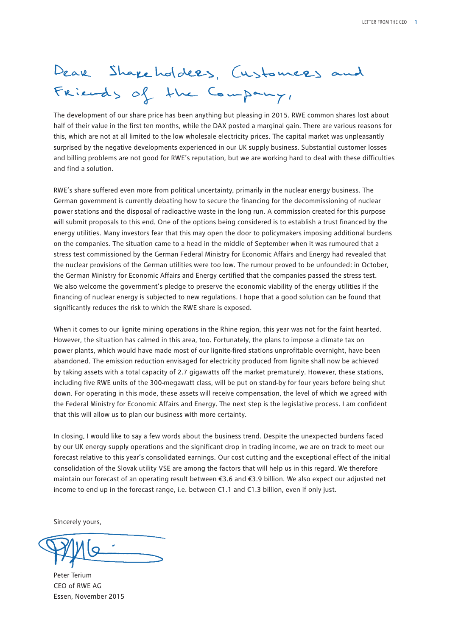# Dear Shapeholders, Customers and Friends of the Company,

The development of our share price has been anything but pleasing in 2015. RWE common shares lost about half of their value in the first ten months, while the DAX posted a marginal gain. There are various reasons for this, which are not at all limited to the low wholesale electricity prices. The capital market was unpleasantly surprised by the negative developments experienced in our UK supply business. Substantial customer losses and billing problems are not good for RWE's reputation, but we are working hard to deal with these difficulties and find a solution.

RWE's share suffered even more from political uncertainty, primarily in the nuclear energy business. The German government is currently debating how to secure the financing for the decommissioning of nuclear power stations and the disposal of radioactive waste in the long run. A commission created for this purpose will submit proposals to this end. One of the options being considered is to establish a trust financed by the energy utilities. Many investors fear that this may open the door to policymakers imposing additional burdens on the companies. The situation came to a head in the middle of September when it was rumoured that a stress test commissioned by the German Federal Ministry for Economic Affairs and Energy had revealed that the nuclear provisions of the German utilities were too low. The rumour proved to be unfounded: in October, the German Ministry for Economic Affairs and Energy certified that the companies passed the stress test. We also welcome the government's pledge to preserve the economic viability of the energy utilities if the financing of nuclear energy is subjected to new regulations. I hope that a good solution can be found that significantly reduces the risk to which the RWE share is exposed.

When it comes to our lignite mining operations in the Rhine region, this year was not for the faint hearted. However, the situation has calmed in this area, too. Fortunately, the plans to impose a climate tax on power plants, which would have made most of our lignite-fired stations unprofitable overnight, have been abandoned. The emission reduction envisaged for electricity produced from lignite shall now be achieved by taking assets with a total capacity of 2.7 gigawatts off the market prematurely. However, these stations, including five RWE units of the 300-megawatt class, will be put on stand-by for four years before being shut down. For operating in this mode, these assets will receive compensation, the level of which we agreed with the Federal Ministry for Economic Affairs and Energy. The next step is the legislative process. I am confident that this will allow us to plan our business with more certainty.

In closing, I would like to say a few words about the business trend. Despite the unexpected burdens faced by our UK energy supply operations and the significant drop in trading income, we are on track to meet our forecast relative to this year's consolidated earnings. Our cost cutting and the exceptional effect of the initial consolidation of the Slovak utility VSE are among the factors that will help us in this regard. We therefore maintain our forecast of an operating result between €3.6 and €3.9 billion. We also expect our adjusted net income to end up in the forecast range, i.e. between €1.1 and €1.3 billion, even if only just.

Sincerely yours,

Peter Terium CEO of RWE AG Essen, November 2015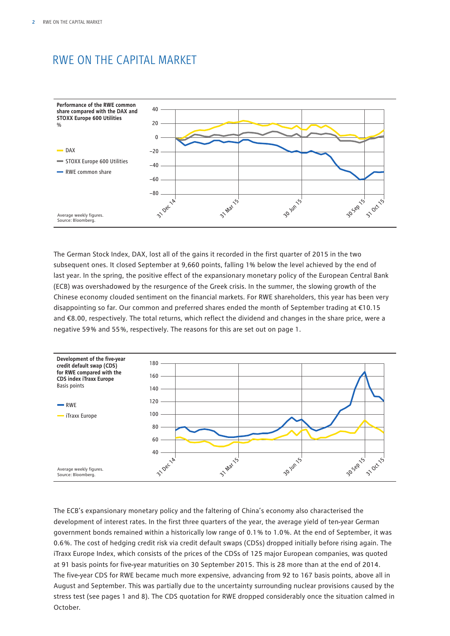## RWE ON THE CAPITAL MARKET



The German Stock Index, DAX, lost all of the gains it recorded in the first quarter of 2015 in the two subsequent ones. It closed September at 9,660 points, falling 1% below the level achieved by the end of last year. In the spring, the positive effect of the expansionary monetary policy of the European Central Bank (ECB) was overshadowed by the resurgence of the Greek crisis. In the summer, the slowing growth of the Chinese economy clouded sentiment on the financial markets. For RWE shareholders, this year has been very disappointing so far. Our common and preferred shares ended the month of September trading at €10.15 and €8.00, respectively. The total returns, which reflect the dividend and changes in the share price, were a negative 59 % and 55 %, respectively. The reasons for this are set out on page 1.



The ECB's expansionary monetary policy and the faltering of China's economy also characterised the development of interest rates. In the first three quarters of the year, the average yield of ten-year German government bonds remained within a historically low range of 0.1 % to 1.0 %. At the end of September, it was 0.6 %. The cost of hedging credit risk via credit default swaps (CDSs) dropped initially before rising again. The iTraxx Europe Index, which consists of the prices of the CDSs of 125 major European companies, was quoted at 91 basis points for five-year maturities on 30 September 2015. This is 28 more than at the end of 2014. The five-year CDS for RWE became much more expensive, advancing from 92 to 167 basis points, above all in August and September. This was partially due to the uncertainty surrounding nuclear provisions caused by the stress test (see pages 1 and 8). The CDS quotation for RWE dropped considerably once the situation calmed in October.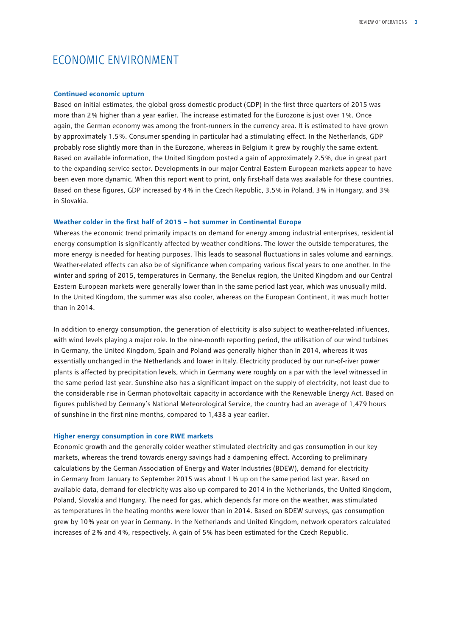## ECONOMIC ENVIRONMENT

#### **Continued economic upturn**

Based on initial estimates, the global gross domestic product (GDP) in the first three quarters of 2015 was more than 2 % higher than a year earlier. The increase estimated for the Eurozone is just over 1 %. Once again, the German economy was among the front-runners in the currency area. It is estimated to have grown by approximately 1.5 %. Consumer spending in particular had a stimulating effect. In the Netherlands, GDP probably rose slightly more than in the Eurozone, whereas in Belgium it grew by roughly the same extent. Based on available information, the United Kingdom posted a gain of approximately 2.5 %, due in great part to the expanding service sector. Developments in our major Central Eastern European markets appear to have been even more dynamic. When this report went to print, only first-half data was available for these countries. Based on these figures, GDP increased by 4 % in the Czech Republic, 3.5 % in Poland, 3 % in Hungary, and 3 % in Slovakia.

#### **Weather colder in the first half of 2015 – hot summer in Continental Europe**

Whereas the economic trend primarily impacts on demand for energy among industrial enterprises, residential energy consumption is significantly affected by weather conditions. The lower the outside temperatures, the more energy is needed for heating purposes. This leads to seasonal fluctuations in sales volume and earnings. Weather-related effects can also be of significance when comparing various fiscal years to one another. In the winter and spring of 2015, temperatures in Germany, the Benelux region, the United Kingdom and our Central Eastern European markets were generally lower than in the same period last year, which was unusually mild. In the United Kingdom, the summer was also cooler, whereas on the European Continent, it was much hotter than in 2014.

In addition to energy consumption, the generation of electricity is also subject to weather-related influences, with wind levels playing a major role. In the nine-month reporting period, the utilisation of our wind turbines in Germany, the United Kingdom, Spain and Poland was generally higher than in 2014, whereas it was essentially unchanged in the Netherlands and lower in Italy. Electricity produced by our run-of-river power plants is affected by precipitation levels, which in Germany were roughly on a par with the level witnessed in the same period last year. Sunshine also has a significant impact on the supply of electricity, not least due to the considerable rise in German photovoltaic capacity in accordance with the Renewable Energy Act. Based on figures published by Germany's National Meteorological Service, the country had an average of 1,479 hours of sunshine in the first nine months, compared to 1,438 a year earlier.

#### **Higher energy consumption in core RWE markets**

Economic growth and the generally colder weather stimulated electricity and gas consumption in our key markets, whereas the trend towards energy savings had a dampening effect. According to preliminary calculations by the German Association of Energy and Water Industries (BDEW), demand for electricity in Germany from January to September 2015 was about 1 % up on the same period last year. Based on available data, demand for electricity was also up compared to 2014 in the Netherlands, the United Kingdom, Poland, Slovakia and Hungary. The need for gas, which depends far more on the weather, was stimulated as temperatures in the heating months were lower than in 2014. Based on BDEW surveys, gas consumption grew by 10 % year on year in Germany. In the Netherlands and United Kingdom, network operators calculated increases of 2 % and 4 %, respectively. A gain of 5 % has been estimated for the Czech Republic.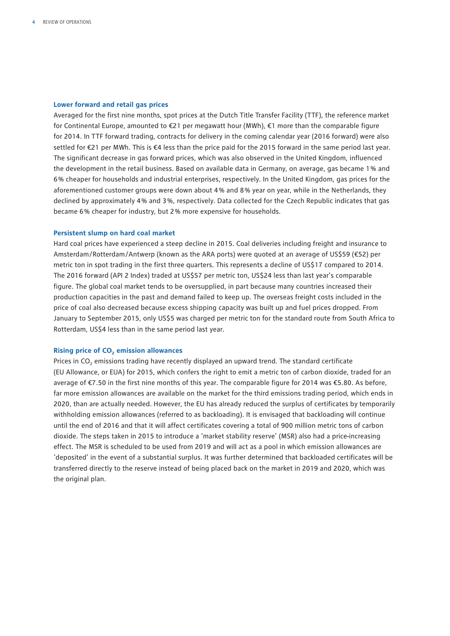#### **Lower forward and retail gas prices**

Averaged for the first nine months, spot prices at the Dutch Title Transfer Facility (TTF), the reference market for Continental Europe, amounted to €21 per megawatt hour (MWh), €1 more than the comparable figure for 2014. In TTF forward trading, contracts for delivery in the coming calendar year (2016 forward) were also settled for €21 per MWh. This is €4 less than the price paid for the 2015 forward in the same period last year. The significant decrease in gas forward prices, which was also observed in the United Kingdom, influenced the development in the retail business. Based on available data in Germany, on average, gas became 1 % and 6 % cheaper for households and industrial enterprises, respectively. In the United Kingdom, gas prices for the aforementioned customer groups were down about 4 % and 8 % year on year, while in the Netherlands, they declined by approximately 4 % and 3 %, respectively. Data collected for the Czech Republic indicates that gas became 6 % cheaper for industry, but 2 % more expensive for households.

#### **Persistent slump on hard coal market**

Hard coal prices have experienced a steep decline in 2015. Coal deliveries including freight and insurance to Amsterdam/Rotterdam/Antwerp (known as the ARA ports) were quoted at an average of US\$59 (€52) per metric ton in spot trading in the first three quarters. This represents a decline of US\$17 compared to 2014. The 2016 forward (API 2 Index) traded at US\$57 per metric ton, US\$24 less than last year's comparable figure. The global coal market tends to be oversupplied, in part because many countries increased their production capacities in the past and demand failed to keep up. The overseas freight costs included in the price of coal also decreased because excess shipping capacity was built up and fuel prices dropped. From January to September 2015, only US\$5 was charged per metric ton for the standard route from South Africa to Rotterdam, US\$4 less than in the same period last year.

#### **Rising price of CO<sub>2</sub> emission allowances**

Prices in CO<sub>2</sub> emissions trading have recently displayed an upward trend. The standard certificate (EU Allowance, or EUA) for 2015, which confers the right to emit a metric ton of carbon dioxide, traded for an average of €7.50 in the first nine months of this year. The comparable figure for 2014 was €5.80. As before, far more emission allowances are available on the market for the third emissions trading period, which ends in 2020, than are actually needed. However, the EU has already reduced the surplus of certificates by temporarily withholding emission allowances (referred to as backloading). It is envisaged that backloading will continue until the end of 2016 and that it will affect certificates covering a total of 900 million metric tons of carbon dioxide. The steps taken in 2015 to introduce a 'market stability reserve' (MSR) also had a price-increasing effect. The MSR is scheduled to be used from 2019 and will act as a pool in which emission allowances are 'deposited' in the event of a substantial surplus. It was further determined that backloaded certificates will be transferred directly to the reserve instead of being placed back on the market in 2019 and 2020, which was the original plan.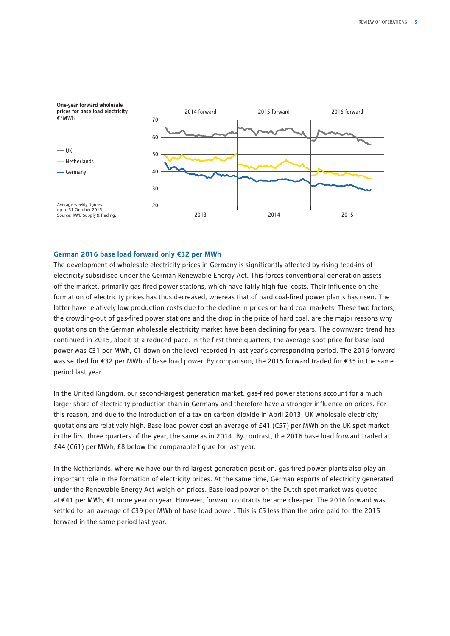

#### **German 2016 base load forward only €32 per MWh**

The development of wholesale electricity prices in Germany is significantly affected by rising feed-ins of electricity subsidised under the German Renewable Energy Act. This forces conventional generation assets off the market, primarily gas-fired power stations, which have fairly high fuel costs. Their influence on the formation of electricity prices has thus decreased, whereas that of hard coal-fired power plants has risen. The latter have relatively low production costs due to the decline in prices on hard coal markets. These two factors, the crowding-out of gas-fired power stations and the drop in the price of hard coal, are the major reasons why quotations on the German wholesale electricity market have been declining for years. The downward trend has continued in 2015, albeit at a reduced pace. In the first three quarters, the average spot price for base load power was €31 per MWh, €1 down on the level recorded in last year's corresponding period. The 2016 forward was settled for €32 per MWh of base load power. By comparison, the 2015 forward traded for €35 in the same period last year.

In the United Kingdom, our second-largest generation market, gas-fired power stations account for a much larger share of electricity production than in Germany and therefore have a stronger influence on prices. For this reason, and due to the introduction of a tax on carbon dioxide in April 2013, UK wholesale electricity quotations are relatively high. Base load power cost an average of £41 (€57) per MWh on the UK spot market in the first three quarters of the year, the same as in 2014. By contrast, the 2016 base load forward traded at £44 (€61) per MWh, £8 below the comparable figure for last year.

In the Netherlands, where we have our third-largest generation position, gas-fired power plants also play an important role in the formation of electricity prices. At the same time, German exports of electricity generated under the Renewable Energy Act weigh on prices. Base load power on the Dutch spot market was quoted at €41 per MWh, €1 more year on year. However, forward contracts became cheaper. The 2016 forward was settled for an average of €39 per MWh of base load power. This is €5 less than the price paid for the 2015 forward in the same period last year.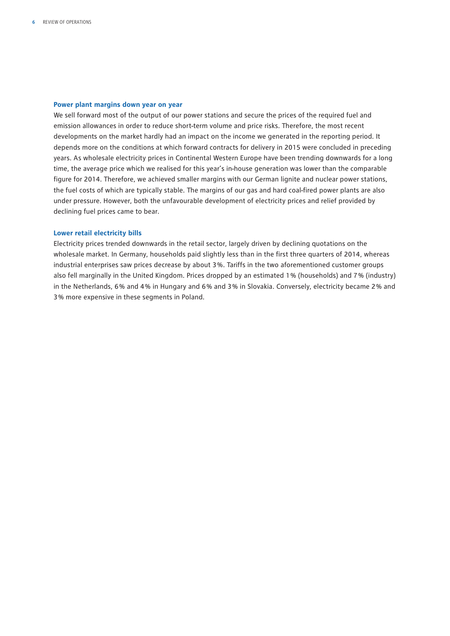#### **Power plant margins down year on year**

We sell forward most of the output of our power stations and secure the prices of the required fuel and emission allowances in order to reduce short-term volume and price risks. Therefore, the most recent developments on the market hardly had an impact on the income we generated in the reporting period. It depends more on the conditions at which forward contracts for delivery in 2015 were concluded in preceding years. As wholesale electricity prices in Continental Western Europe have been trending downwards for a long time, the average price which we realised for this year's in-house generation was lower than the comparable figure for 2014. Therefore, we achieved smaller margins with our German lignite and nuclear power stations, the fuel costs of which are typically stable. The margins of our gas and hard coal-fired power plants are also under pressure. However, both the unfavourable development of electricity prices and relief provided by declining fuel prices came to bear.

#### **Lower retail electricity bills**

Electricity prices trended downwards in the retail sector, largely driven by declining quotations on the wholesale market. In Germany, households paid slightly less than in the first three quarters of 2014, whereas industrial enterprises saw prices decrease by about 3 %. Tariffs in the two aforementioned customer groups also fell marginally in the United Kingdom. Prices dropped by an estimated 1 % (households) and 7 % (industry) in the Netherlands, 6 % and 4 % in Hungary and 6 % and 3 % in Slovakia. Conversely, electricity became 2 % and 3 % more expensive in these segments in Poland.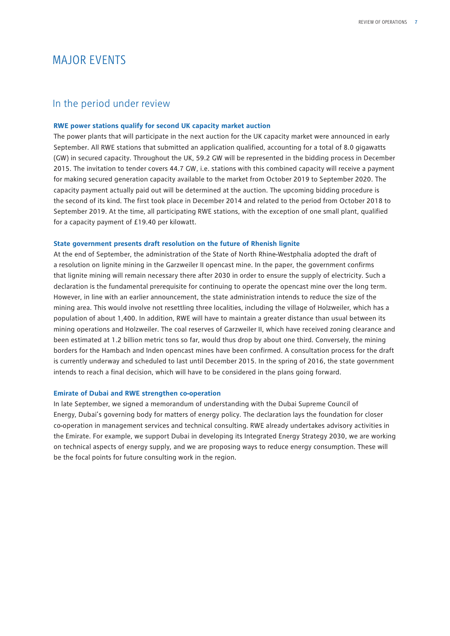## MAJOR EVENTS

#### In the period under review

#### **RWE power stations qualify for second UK capacity market auction**

The power plants that will participate in the next auction for the UK capacity market were announced in early September. All RWE stations that submitted an application qualified, accounting for a total of 8.0 gigawatts (GW) in secured capacity. Throughout the UK, 59.2 GW will be represented in the bidding process in December 2015. The invitation to tender covers 44.7 GW, i.e. stations with this combined capacity will receive a payment for making secured generation capacity available to the market from October 2019 to September 2020. The capacity payment actually paid out will be determined at the auction. The upcoming bidding procedure is the second of its kind. The first took place in December 2014 and related to the period from October 2018 to September 2019. At the time, all participating RWE stations, with the exception of one small plant, qualified for a capacity payment of £19.40 per kilowatt.

#### **State government presents draft resolution on the future of Rhenish lignite**

At the end of September, the administration of the State of North Rhine-Westphalia adopted the draft of a resolution on lignite mining in the Garzweiler II opencast mine. In the paper, the government confirms that lignite mining will remain necessary there after 2030 in order to ensure the supply of electricity. Such a declaration is the fundamental prerequisite for continuing to operate the opencast mine over the long term. However, in line with an earlier announcement, the state administration intends to reduce the size of the mining area. This would involve not resettling three localities, including the village of Holzweiler, which has a population of about 1,400. In addition, RWE will have to maintain a greater distance than usual between its mining operations and Holzweiler. The coal reserves of Garzweiler II, which have received zoning clearance and been estimated at 1.2 billion metric tons so far, would thus drop by about one third. Conversely, the mining borders for the Hambach and Inden opencast mines have been confirmed. A consultation process for the draft is currently underway and scheduled to last until December 2015. In the spring of 2016, the state government intends to reach a final decision, which will have to be considered in the plans going forward.

#### **Emirate of Dubai and RWE strengthen co-operation**

In late September, we signed a memorandum of understanding with the Dubai Supreme Council of Energy, Dubai's governing body for matters of energy policy. The declaration lays the foundation for closer co-operation in management services and technical consulting. RWE already undertakes advisory activities in the Emirate. For example, we support Dubai in developing its Integrated Energy Strategy 2030, we are working on technical aspects of energy supply, and we are proposing ways to reduce energy consumption. These will be the focal points for future consulting work in the region.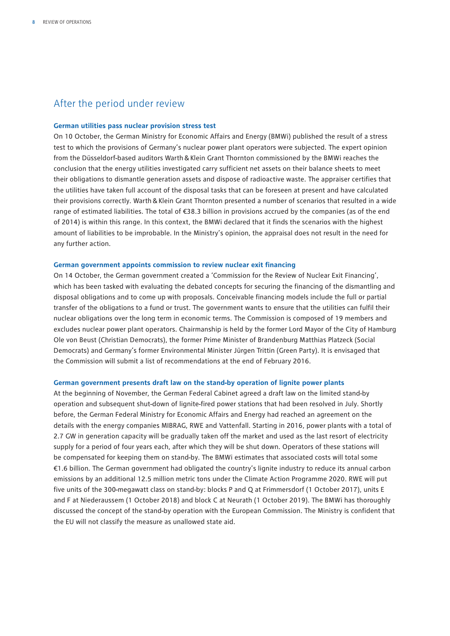### After the period under review

#### **German utilities pass nuclear provision stress test**

On 10 October, the German Ministry for Economic Affairs and Energy (BMWi) published the result of a stress test to which the provisions of Germany's nuclear power plant operators were subjected. The expert opinion from the Düsseldorf-based auditors Warth&Klein Grant Thornton commissioned by the BMWi reaches the conclusion that the energy utilities investigated carry sufficient net assets on their balance sheets to meet their obligations to dismantle generation assets and dispose of radioactive waste. The appraiser certifies that the utilities have taken full account of the disposal tasks that can be foreseen at present and have calculated their provisions correctly. Warth&Klein Grant Thornton presented a number of scenarios that resulted in a wide range of estimated liabilities. The total of €38.3 billion in provisions accrued by the companies (as of the end of 2014) is within this range. In this context, the BMWi declared that it finds the scenarios with the highest amount of liabilities to be improbable. In the Ministry's opinion, the appraisal does not result in the need for any further action.

#### **German government appoints commission to review nuclear exit financing**

On 14 October, the German government created a 'Commission for the Review of Nuclear Exit Financing', which has been tasked with evaluating the debated concepts for securing the financing of the dismantling and disposal obligations and to come up with proposals. Conceivable financing models include the full or partial transfer of the obligations to a fund or trust. The government wants to ensure that the utilities can fulfil their nuclear obligations over the long term in economic terms. The Commission is composed of 19 members and excludes nuclear power plant operators. Chairmanship is held by the former Lord Mayor of the City of Hamburg Ole von Beust (Christian Democrats), the former Prime Minister of Brandenburg Matthias Platzeck (Social Democrats) and Germany's former Environmental Minister Jürgen Trittin (Green Party). It is envisaged that the Commission will submit a list of recommendations at the end of February 2016.

#### **German government presents draft law on the stand-by operation of lignite power plants**

At the beginning of November, the German Federal Cabinet agreed a draft law on the limited stand-by operation and subsequent shut-down of lignite-fired power stations that had been resolved in July. Shortly before, the German Federal Ministry for Economic Affairs and Energy had reached an agreement on the details with the energy companies MIBRAG, RWE and Vattenfall. Starting in 2016, power plants with a total of 2.7 GW in generation capacity will be gradually taken off the market and used as the last resort of electricity supply for a period of four years each, after which they will be shut down. Operators of these stations will be compensated for keeping them on stand-by. The BMWi estimates that associated costs will total some €1.6 billion. The German government had obligated the country's lignite industry to reduce its annual carbon emissions by an additional 12.5 million metric tons under the Climate Action Programme 2020. RWE will put five units of the 300-megawatt class on stand-by: blocks P and Q at Frimmersdorf (1 October 2017), units E and F at Niederaussem (1 October 2018) and block C at Neurath (1 October 2019). The BMWi has thoroughly discussed the concept of the stand-by operation with the European Commission. The Ministry is confident that the EU will not classify the measure as unallowed state aid.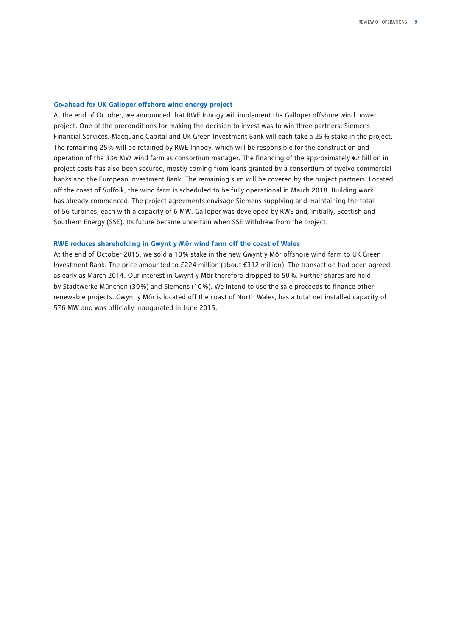#### **Go-ahead for UK Galloper offshore wind energy project**

At the end of October, we announced that RWE Innogy will implement the Galloper offshore wind power project. One of the preconditions for making the decision to invest was to win three partners: Siemens Financial Services, Macquarie Capital and UK Green Investment Bank will each take a 25 % stake in the project. The remaining 25 % will be retained by RWE Innogy, which will be responsible for the construction and operation of the 336 MW wind farm as consortium manager. The financing of the approximately €2 billion in project costs has also been secured, mostly coming from loans granted by a consortium of twelve commercial banks and the European Investment Bank. The remaining sum will be covered by the project partners. Located off the coast of Suffolk, the wind farm is scheduled to be fully operational in March 2018. Building work has already commenced. The project agreements envisage Siemens supplying and maintaining the total of 56 turbines, each with a capacity of 6 MW. Galloper was developed by RWE and, initially, Scottish and Southern Energy (SSE). Its future became uncertain when SSE withdrew from the project.

#### **RWE reduces shareholding in Gwynt y Môr wind farm off the coast of Wales**

At the end of October 2015, we sold a 10 % stake in the new Gwynt y Môr offshore wind farm to UK Green Investment Bank. The price amounted to £224 million (about €312 million). The transaction had been agreed as early as March 2014. Our interest in Gwynt y Môr therefore dropped to 50 %. Further shares are held by Stadtwerke München (30 %) and Siemens (10 %). We intend to use the sale proceeds to finance other renewable projects. Gwynt y Môr is located off the coast of North Wales, has a total net installed capacity of 576 MW and was officially inaugurated in June 2015.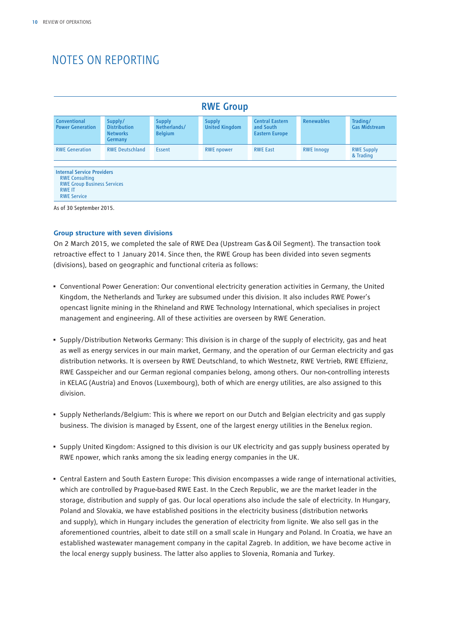## NOTES ON REPORTING

| <b>RWE Group</b>                                                                                                                        |                                                                     |                                                 |                                        |                                                              |                   |                                  |  |  |  |
|-----------------------------------------------------------------------------------------------------------------------------------------|---------------------------------------------------------------------|-------------------------------------------------|----------------------------------------|--------------------------------------------------------------|-------------------|----------------------------------|--|--|--|
| Conventional<br><b>Power Generation</b>                                                                                                 | Supply/<br><b>Distribution</b><br><b>Networks</b><br><b>Germany</b> | <b>Supply</b><br>Netherlands/<br><b>Belgium</b> | <b>Supply</b><br><b>United Kingdom</b> | <b>Central Eastern</b><br>and South<br><b>Eastern Europe</b> | <b>Renewables</b> | Trading/<br><b>Gas Midstream</b> |  |  |  |
| <b>RWE Generation</b>                                                                                                                   | <b>RWE Deutschland</b>                                              | <b>Essent</b>                                   | <b>RWE</b> npower                      | <b>RWE East</b>                                              | <b>RWE Innogy</b> | <b>RWE Supply</b><br>& Trading   |  |  |  |
| <b>Internal Service Providers</b><br><b>RWE Consulting</b><br><b>RWE Group Business Services</b><br><b>RWE IT</b><br><b>RWE Service</b> |                                                                     |                                                 |                                        |                                                              |                   |                                  |  |  |  |

#### **Group structure with seven divisions**

On 2 March 2015, we completed the sale of RWE Dea (Upstream Gas&Oil Segment). The transaction took retroactive effect to 1 January 2014. Since then, the RWE Group has been divided into seven segments (divisions), based on geographic and functional criteria as follows:

- Conventional Power Generation: Our conventional electricity generation activities in Germany, the United Kingdom, the Netherlands and Turkey are subsumed under this division. It also includes RWE Power's opencast lignite mining in the Rhineland and RWE Technology International, which specialises in project management and engineering. All of these activities are overseen by RWE Generation.
- Supply/Distribution Networks Germany: This division is in charge of the supply of electricity, gas and heat as well as energy services in our main market, Germany, and the operation of our German electricity and gas distribution networks. It is overseen by RWE Deutschland, to which Westnetz, RWE Vertrieb, RWE Effizienz, RWE Gasspeicher and our German regional companies belong, among others. Our non-controlling interests in KELAG (Austria) and Enovos (Luxembourg), both of which are energy utilities, are also assigned to this division.
- Supply Netherlands/Belgium: This is where we report on our Dutch and Belgian electricity and gas supply business. The division is managed by Essent, one of the largest energy utilities in the Benelux region.
- Supply United Kingdom: Assigned to this division is our UK electricity and gas supply business operated by RWE npower, which ranks among the six leading energy companies in the UK.
- Central Eastern and South Eastern Europe: This division encompasses a wide range of international activities, which are controlled by Prague-based RWE East. In the Czech Republic, we are the market leader in the storage, distribution and supply of gas. Our local operations also include the sale of electricity. In Hungary, Poland and Slovakia, we have established positions in the electricity business (distribution networks and supply), which in Hungary includes the generation of electricity from lignite. We also sell gas in the aforementioned countries, albeit to date still on a small scale in Hungary and Poland. In Croatia, we have an established wastewater management company in the capital Zagreb. In addition, we have become active in the local energy supply business. The latter also applies to Slovenia, Romania and Turkey.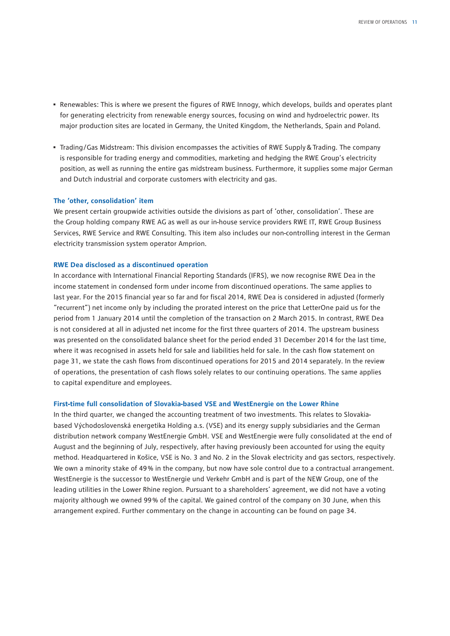- Renewables: This is where we present the figures of RWE Innogy, which develops, builds and operates plant for generating electricity from renewable energy sources, focusing on wind and hydroelectric power. Its major production sites are located in Germany, the United Kingdom, the Netherlands, Spain and Poland.
- Trading/Gas Midstream: This division encompasses the activities of RWE Supply & Trading. The company is responsible for trading energy and commodities, marketing and hedging the RWE Group's electricity position, as well as running the entire gas midstream business. Furthermore, it supplies some major German and Dutch industrial and corporate customers with electricity and gas.

#### **The 'other, consolidation' item**

We present certain groupwide activities outside the divisions as part of 'other, consolidation'. These are the Group holding company RWE AG as well as our in-house service providers RWE IT, RWE Group Business Services, RWE Service and RWE Consulting. This item also includes our non-controlling interest in the German electricity transmission system operator Amprion.

#### **RWE Dea disclosed as a discontinued operation**

In accordance with International Financial Reporting Standards (IFRS), we now recognise RWE Dea in the income statement in condensed form under income from discontinued operations. The same applies to last year. For the 2015 financial year so far and for fiscal 2014, RWE Dea is considered in adjusted (formerly "recurrent") net income only by including the prorated interest on the price that LetterOne paid us for the period from 1 January 2014 until the completion of the transaction on 2 March 2015. In contrast, RWE Dea is not considered at all in adjusted net income for the first three quarters of 2014. The upstream business was presented on the consolidated balance sheet for the period ended 31 December 2014 for the last time, where it was recognised in assets held for sale and liabilities held for sale. In the cash flow statement on page 31, we state the cash flows from discontinued operations for 2015 and 2014 separately. In the review of operations, the presentation of cash flows solely relates to our continuing operations. The same applies to capital expenditure and employees.

#### **First-time full consolidation of Slovakia-based VSE and WestEnergie on the Lower Rhine**

In the third quarter, we changed the accounting treatment of two investments. This relates to Slovakiabased Východoslovenská energetika Holding a.s. (VSE) and its energy supply subsidiaries and the German distribution network company WestEnergie GmbH. VSE and WestEnergie were fully consolidated at the end of August and the beginning of July, respectively, after having previously been accounted for using the equity method. Headquartered in Košice, VSE is No. 3 and No. 2 in the Slovak electricity and gas sectors, respectively. We own a minority stake of 49% in the company, but now have sole control due to a contractual arrangement. WestEnergie is the successor to WestEnergie und Verkehr GmbH and is part of the NEW Group, one of the leading utilities in the Lower Rhine region. Pursuant to a shareholders' agreement, we did not have a voting majority although we owned 99 % of the capital. We gained control of the company on 30 June, when this arrangement expired. Further commentary on the change in accounting can be found on page 34.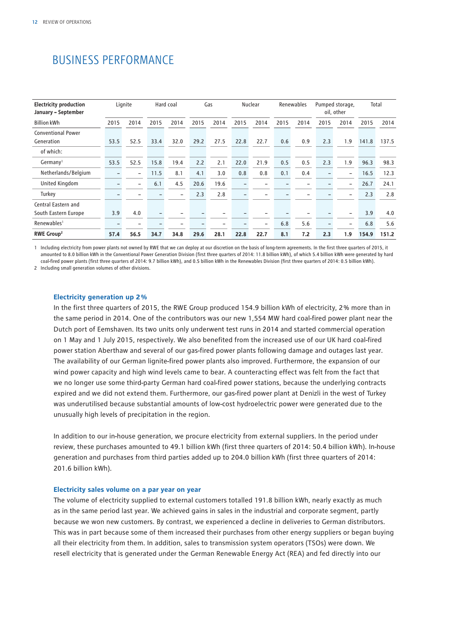## BUSINESS PERFORMANCE

| <b>Electricity production</b><br>January - September |      | Lignite                  |                          | Hard coal                |      | Gas                      |      | Nuclear                  |      | Renewables |      | Pumped storage,<br>oil, other |       | Total |
|------------------------------------------------------|------|--------------------------|--------------------------|--------------------------|------|--------------------------|------|--------------------------|------|------------|------|-------------------------------|-------|-------|
| <b>Billion kWh</b>                                   | 2015 | 2014                     | 2015                     | 2014                     | 2015 | 2014                     | 2015 | 2014                     | 2015 | 2014       | 2015 | 2014                          | 2015  | 2014  |
| <b>Conventional Power</b>                            |      |                          |                          |                          |      |                          |      |                          |      |            |      |                               |       |       |
| Generation                                           | 53.5 | 52.5                     | 33.4                     | 32.0                     | 29.2 | 27.5                     | 22.8 | 22.7                     | 0.6  | 0.9        | 2.3  | 1.9                           | 141.8 | 137.5 |
| of which:                                            |      |                          |                          |                          |      |                          |      |                          |      |            |      |                               |       |       |
| Germany <sup>1</sup>                                 | 53.5 | 52.5                     | 15.8                     | 19.4                     | 2.2  | 2.1                      | 22.0 | 21.9                     | 0.5  | 0.5        | 2.3  | 1.9                           | 96.3  | 98.3  |
| Netherlands/Belgium                                  |      | $\overline{\phantom{0}}$ | 11.5                     | 8.1                      | 4.1  | 3.0                      | 0.8  | 0.8                      | 0.1  | 0.4        |      | $\overline{\phantom{0}}$      | 16.5  | 12.3  |
| United Kingdom                                       |      | $\overline{\phantom{0}}$ | 6.1                      | 4.5                      | 20.6 | 19.6                     |      |                          |      |            |      | $\overline{\phantom{a}}$      | 26.7  | 24.1  |
| Turkey                                               |      |                          |                          | $\overline{\phantom{0}}$ | 2.3  | 2.8                      |      | -                        |      |            |      |                               | 2.3   | 2.8   |
| Central Eastern and                                  |      |                          |                          |                          |      |                          |      |                          |      |            |      |                               |       |       |
| South Eastern Europe                                 | 3.9  | 4.0                      | $\overline{\phantom{0}}$ |                          |      |                          |      | -                        |      |            |      |                               | 3.9   | 4.0   |
| Renewables <sup>1</sup>                              |      |                          |                          |                          |      | $\overline{\phantom{0}}$ |      | $\overline{\phantom{0}}$ | 6.8  | 5.6        |      |                               | 6.8   | 5.6   |
| RWE Group <sup>2</sup>                               | 57.4 | 56.5                     | 34.7                     | 34.8                     | 29.6 | 28.1                     | 22.8 | 22.7                     | 8.1  | 7.2        | 2.3  | 1.9                           | 154.9 | 151.2 |

1 Including electricity from power plants not owned by RWE that we can deploy at our discretion on the basis of long-term agreements. In the first three quarters of 2015, it amounted to 8.0 billion kWh in the Conventional Power Generation Division (first three quarters of 2014: 11.8 billion kWh), of which 5.4 billion kWh were generated by hard coal-fired power plants (first three quarters of 2014: 9.7 billion kWh), and 0.5 billion kWh in the Renewables Division (first three quarters of 2014: 0.5 billion kWh).

2 Including small generation volumes of other divisions.

#### **Electricity generation up 2 %**

In the first three quarters of 2015, the RWE Group produced 154.9 billion kWh of electricity, 2 % more than in the same period in 2014. One of the contributors was our new 1,554 MW hard coal-fired power plant near the Dutch port of Eemshaven. Its two units only underwent test runs in 2014 and started commercial operation on 1 May and 1 July 2015, respectively. We also benefited from the increased use of our UK hard coal-fired power station Aberthaw and several of our gas-fired power plants following damage and outages last year. The availability of our German lignite-fired power plants also improved. Furthermore, the expansion of our wind power capacity and high wind levels came to bear. A counteracting effect was felt from the fact that we no longer use some third-party German hard coal-fired power stations, because the underlying contracts expired and we did not extend them. Furthermore, our gas-fired power plant at Denizli in the west of Turkey was underutilised because substantial amounts of low-cost hydroelectric power were generated due to the unusually high levels of precipitation in the region.

In addition to our in-house generation, we procure electricity from external suppliers. In the period under review, these purchases amounted to 49.1 billion kWh (first three quarters of 2014: 50.4 billion kWh). In-house generation and purchases from third parties added up to 204.0 billion kWh (first three quarters of 2014: 201.6 billion kWh).

#### **Electricity sales volume on a par year on year**

The volume of electricity supplied to external customers totalled 191.8 billion kWh, nearly exactly as much as in the same period last year. We achieved gains in sales in the industrial and corporate segment, partly because we won new customers. By contrast, we experienced a decline in deliveries to German distributors. This was in part because some of them increased their purchases from other energy suppliers or began buying all their electricity from them. In addition, sales to transmission system operators (TSOs) were down. We resell electricity that is generated under the German Renewable Energy Act (REA) and fed directly into our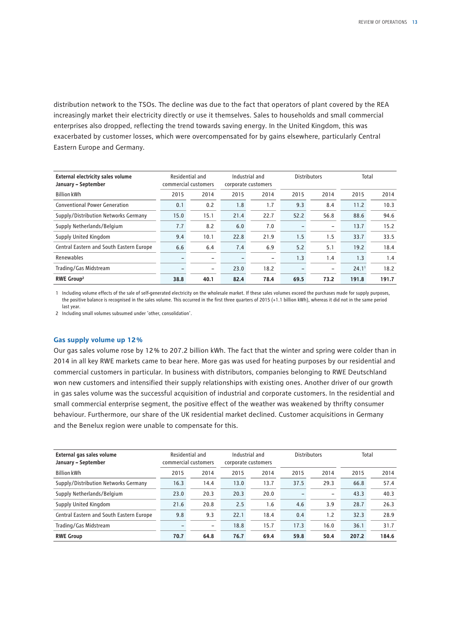distribution network to the TSOs. The decline was due to the fact that operators of plant covered by the REA increasingly market their electricity directly or use it themselves. Sales to households and small commercial enterprises also dropped, reflecting the trend towards saving energy. In the United Kingdom, this was exacerbated by customer losses, which were overcompensated for by gains elsewhere, particularly Central Eastern Europe and Germany.

| <b>External electricity sales volume</b><br>January – September |      | Residential and<br>Industrial and<br><b>Distributors</b><br>commercial customers<br>corporate customers |      |                          |                          | Total                    |       |       |
|-----------------------------------------------------------------|------|---------------------------------------------------------------------------------------------------------|------|--------------------------|--------------------------|--------------------------|-------|-------|
| <b>Billion kWh</b>                                              | 2015 | 2014                                                                                                    | 2015 | 2014                     | 2015                     | 2014                     | 2015  | 2014  |
| <b>Conventional Power Generation</b>                            | 0.1  | 0.2                                                                                                     | 1.8  | 1.7                      | 9.3                      | 8.4                      | 11.2  | 10.3  |
| Supply/Distribution Networks Germany                            | 15.0 | 15.1                                                                                                    | 21.4 | 22.7                     | 52.2                     | 56.8                     | 88.6  | 94.6  |
| Supply Netherlands/Belgium                                      | 7.7  | 8.2                                                                                                     | 6.0  | 7.0                      |                          | $\overline{\phantom{0}}$ | 13.7  | 15.2  |
| Supply United Kingdom                                           | 9.4  | 10.1                                                                                                    | 22.8 | 21.9                     | 1.5                      | 1.5                      | 33.7  | 33.5  |
| Central Eastern and South Eastern Europe                        | 6.6  | 6.4                                                                                                     | 7.4  | 6.9                      | 5.2                      | 5.1                      | 19.2  | 18.4  |
| Renewables                                                      |      | $\overline{\phantom{0}}$                                                                                |      | $\overline{\phantom{a}}$ | 1.3                      | 1.4                      | 1.3   | 1.4   |
| Trading/Gas Midstream                                           |      | $\qquad \qquad -$                                                                                       | 23.0 | 18.2                     | $\overline{\phantom{0}}$ | $\overline{\phantom{0}}$ | 24.1' | 18.2  |
| RWE Group <sup>2</sup>                                          | 38.8 | 40.1                                                                                                    | 82.4 | 78.4                     | 69.5                     | 73.2                     | 191.8 | 191.7 |

1 Including volume effects of the sale of self-generated electricity on the wholesale market. If these sales volumes exceed the purchases made for supply purposes, the positive balance is recognised in the sales volume. This occurred in the first three quarters of 2015 (+1.1 billion kWh), whereas it did not in the same period last year.

2 Including small volumes subsumed under 'other, consolidation'.

#### **Gas supply volume up 12 %**

Our gas sales volume rose by 12 % to 207.2 billion kWh. The fact that the winter and spring were colder than in 2014 in all key RWE markets came to bear here. More gas was used for heating purposes by our residential and commercial customers in particular. In business with distributors, companies belonging to RWE Deutschland won new customers and intensified their supply relationships with existing ones. Another driver of our growth in gas sales volume was the successful acquisition of industrial and corporate customers. In the residential and small commercial enterprise segment, the positive effect of the weather was weakened by thrifty consumer behaviour. Furthermore, our share of the UK residential market declined. Customer acquisitions in Germany and the Benelux region were unable to compensate for this.

| External gas sales volume<br>January - September | Residential and<br>commercial customers |                   | Industrial and<br><b>Distributors</b><br>corporate customers |      |      |                          |       |       | Total |  |
|--------------------------------------------------|-----------------------------------------|-------------------|--------------------------------------------------------------|------|------|--------------------------|-------|-------|-------|--|
| <b>Billion kWh</b>                               | 2015                                    | 2014              | 2015                                                         | 2014 | 2015 | 2014                     | 2015  | 2014  |       |  |
| Supply/Distribution Networks Germany             | 16.3                                    | 14.4              | 13.0                                                         | 13.7 | 37.5 | 29.3                     | 66.8  | 57.4  |       |  |
| Supply Netherlands/Belgium                       | 23.0                                    | 20.3              | 20.3                                                         | 20.0 |      | $\overline{\phantom{0}}$ | 43.3  | 40.3  |       |  |
| Supply United Kingdom                            | 21.6                                    | 20.8              | 2.5                                                          | 1.6  | 4.6  | 3.9                      | 28.7  | 26.3  |       |  |
| Central Eastern and South Eastern Europe         | 9.8                                     | 9.3               | 22.1                                                         | 18.4 | 0.4  | 1.2                      | 32.3  | 28.9  |       |  |
| Trading/Gas Midstream                            |                                         | $\qquad \qquad -$ | 18.8                                                         | 15.7 | 17.3 | 16.0                     | 36.1  | 31.7  |       |  |
| <b>RWE Group</b>                                 | 70.7                                    | 64.8              | 76.7                                                         | 69.4 | 59.8 | 50.4                     | 207.2 | 184.6 |       |  |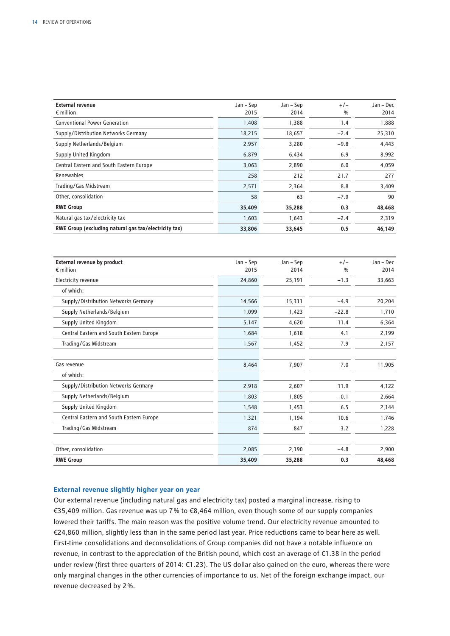| <b>External revenue</b><br>$\epsilon$ million         | Jan – Sep<br>2015 | Jan – Sep<br>2014 | $+/-$<br>$\%$ | Jan – Dec<br>2014 |
|-------------------------------------------------------|-------------------|-------------------|---------------|-------------------|
| <b>Conventional Power Generation</b>                  | 1,408             | 1,388             | 1.4           | 1,888             |
| Supply/Distribution Networks Germany                  | 18,215            | 18,657            | $-2.4$        | 25,310            |
| Supply Netherlands/Belgium                            | 2,957             | 3,280             | $-9.8$        | 4,443             |
| Supply United Kingdom                                 | 6,879             | 6,434             | 6.9           | 8,992             |
| Central Eastern and South Eastern Europe              | 3,063             | 2,890             | 6.0           | 4,059             |
| <b>Renewables</b>                                     | 258               | 212               | 21.7          | 277               |
| Trading/Gas Midstream                                 | 2,571             | 2,364             | 8.8           | 3,409             |
| Other, consolidation                                  | 58                | 63                | $-7.9$        | 90                |
| <b>RWE Group</b>                                      | 35,409            | 35,288            | 0.3           | 48,468            |
| Natural gas tax/electricity tax                       | 1,603             | 1,643             | $-2.4$        | 2,319             |
| RWE Group (excluding natural gas tax/electricity tax) | 33,806            | 33,645            | 0.5           | 46,149            |

| <b>External revenue by product</b>       | Jan - Sep | Jan - Sep | $+/-$         | Jan - Dec |
|------------------------------------------|-----------|-----------|---------------|-----------|
| $\epsilon$ million                       | 2015      | 2014      | $\frac{0}{0}$ | 2014      |
| Electricity revenue                      | 24,860    | 25,191    | $-1.3$        | 33,663    |
| of which:                                |           |           |               |           |
| Supply/Distribution Networks Germany     | 14,566    | 15,311    | $-4.9$        | 20,204    |
| Supply Netherlands/Belgium               | 1,099     | 1,423     | $-22.8$       | 1,710     |
| Supply United Kingdom                    | 5,147     | 4,620     | 11.4          | 6,364     |
| Central Eastern and South Eastern Europe | 1,684     | 1,618     | 4.1           | 2,199     |
| Trading/Gas Midstream                    | 1,567     | 1,452     | 7.9           | 2,157     |
| Gas revenue                              | 8,464     | 7,907     | 7.0           | 11,905    |
| of which:                                |           |           |               |           |
| Supply/Distribution Networks Germany     | 2,918     | 2,607     | 11.9          | 4,122     |
| Supply Netherlands/Belgium               | 1,803     | 1,805     | $-0.1$        | 2,664     |
| Supply United Kingdom                    | 1,548     | 1,453     | 6.5           | 2,144     |
| Central Eastern and South Eastern Europe | 1,321     | 1,194     | 10.6          | 1,746     |
| Trading/Gas Midstream                    | 874       | 847       | 3.2           | 1,228     |
| Other, consolidation                     | 2,085     | 2,190     | $-4.8$        | 2,900     |
| <b>RWE Group</b>                         | 35,409    | 35,288    | 0.3           | 48,468    |

#### **External revenue slightly higher year on year**

Our external revenue (including natural gas and electricity tax) posted a marginal increase, rising to €35,409 million. Gas revenue was up 7 % to €8,464 million, even though some of our supply companies lowered their tariffs. The main reason was the positive volume trend. Our electricity revenue amounted to €24,860 million, slightly less than in the same period last year. Price reductions came to bear here as well. First-time consolidations and deconsolidations of Group companies did not have a notable influence on revenue, in contrast to the appreciation of the British pound, which cost an average of €1.38 in the period under review (first three quarters of 2014: €1.23). The US dollar also gained on the euro, whereas there were only marginal changes in the other currencies of importance to us. Net of the foreign exchange impact, our revenue decreased by 2 %.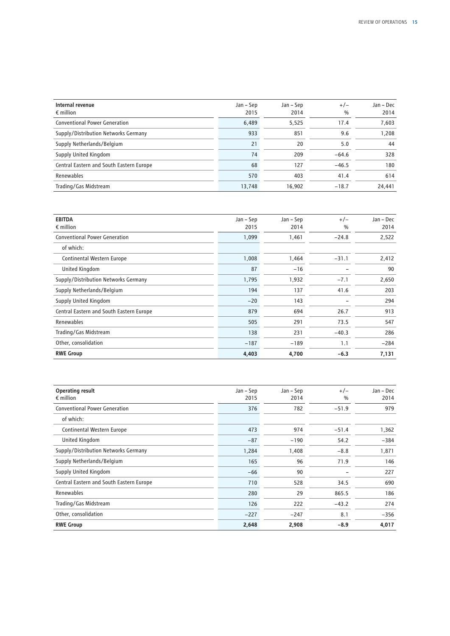| Internal revenue<br>$\epsilon$ million   | Jan – Sep<br>2015 | Jan – Sep<br>2014 | $+/-$<br>$\frac{0}{0}$ | Jan – Dec<br>2014 |
|------------------------------------------|-------------------|-------------------|------------------------|-------------------|
| <b>Conventional Power Generation</b>     | 6,489             | 5,525             | 17.4                   | 7,603             |
| Supply/Distribution Networks Germany     | 933               | 851               | 9.6                    | 1,208             |
| Supply Netherlands/Belgium               | 21                | 20                | 5.0                    | 44                |
| Supply United Kingdom                    | 74                | 209               | $-64.6$                | 328               |
| Central Eastern and South Eastern Europe | 68                | 127               | $-46.5$                | 180               |
| Renewables                               | 570               | 403               | 41.4                   | 614               |
| Trading/Gas Midstream                    | 13,748            | 16.902            | $-18.7$                | 24,441            |

| <b>EBITDA</b>                            | Jan – Sep | Jan – Sep | $+/-$         | Jan - Dec |
|------------------------------------------|-----------|-----------|---------------|-----------|
| $\epsilon$ million                       | 2015      | 2014      | $\frac{0}{0}$ | 2014      |
| <b>Conventional Power Generation</b>     | 1,099     | 1,461     | $-24.8$       | 2,522     |
| of which:                                |           |           |               |           |
| Continental Western Europe               | 1,008     | 1,464     | $-31.1$       | 2,412     |
| United Kingdom                           | 87        | $-16$     |               | 90        |
| Supply/Distribution Networks Germany     | 1,795     | 1,932     | $-7.1$        | 2,650     |
| Supply Netherlands/Belgium               | 194       | 137       | 41.6          | 203       |
| Supply United Kingdom                    | $-20$     | 143       |               | 294       |
| Central Eastern and South Eastern Europe | 879       | 694       | 26.7          | 913       |
| Renewables                               | 505       | 291       | 73.5          | 547       |
| Trading/Gas Midstream                    | 138       | 231       | $-40.3$       | 286       |
| Other, consolidation                     | $-187$    | $-189$    | 1.1           | $-284$    |
| <b>RWE Group</b>                         | 4,403     | 4,700     | $-6.3$        | 7,131     |

| <b>Operating result</b><br>$\epsilon$ million | Jan – Sep<br>2015 | Jan – Sep<br>2014 | $+/-$<br>$\%$ | Jan - Dec<br>2014 |
|-----------------------------------------------|-------------------|-------------------|---------------|-------------------|
| <b>Conventional Power Generation</b>          | 376               | 782               | $-51.9$       | 979               |
| of which:                                     |                   |                   |               |                   |
| Continental Western Europe                    | 473               | 974               | $-51.4$       | 1,362             |
| United Kingdom                                | $-87$             | $-190$            | 54.2          | $-384$            |
| Supply/Distribution Networks Germany          | 1,284             | 1,408             | $-8.8$        | 1,871             |
| Supply Netherlands/Belgium                    | 165               | 96                | 71.9          | 146               |
| Supply United Kingdom                         | $-66$             | 90                |               | 227               |
| Central Eastern and South Eastern Europe      | 710               | 528               | 34.5          | 690               |
| Renewables                                    | 280               | 29                | 865.5         | 186               |
| Trading/Gas Midstream                         | 126               | 222               | $-43.2$       | 274               |
| Other, consolidation                          | $-227$            | $-247$            | 8.1           | $-356$            |
| <b>RWE Group</b>                              | 2,648             | 2,908             | $-8.9$        | 4,017             |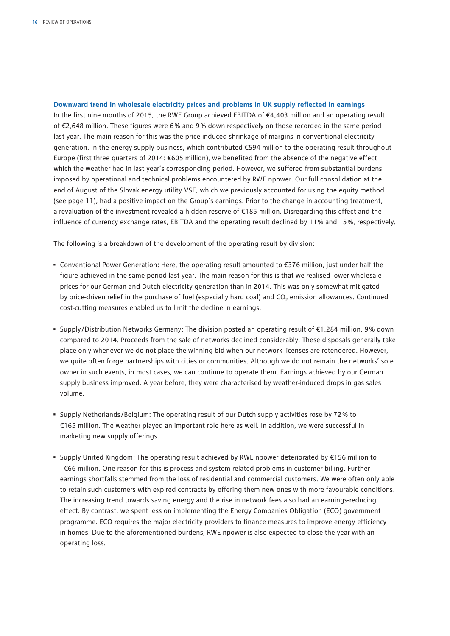#### **Downward trend in wholesale electricity prices and problems in UK supply reflected in earnings**

In the first nine months of 2015, the RWE Group achieved EBITDA of €4,403 million and an operating result of €2,648 million. These figures were 6 % and 9 % down respectively on those recorded in the same period last year. The main reason for this was the price-induced shrinkage of margins in conventional electricity generation. In the energy supply business, which contributed €594 million to the operating result throughout Europe (first three quarters of 2014: €605 million), we benefited from the absence of the negative effect which the weather had in last year's corresponding period. However, we suffered from substantial burdens imposed by operational and technical problems encountered by RWE npower. Our full consolidation at the end of August of the Slovak energy utility VSE, which we previously accounted for using the equity method (see page 11), had a positive impact on the Group's earnings. Prior to the change in accounting treatment, a revaluation of the investment revealed a hidden reserve of €185 million. Disregarding this effect and the influence of currency exchange rates, EBITDA and the operating result declined by 11 % and 15 %, respectively.

The following is a breakdown of the development of the operating result by division:

- Conventional Power Generation: Here, the operating result amounted to €376 million, just under half the figure achieved in the same period last year. The main reason for this is that we realised lower wholesale prices for our German and Dutch electricity generation than in 2014. This was only somewhat mitigated by price-driven relief in the purchase of fuel (especially hard coal) and CO<sub>2</sub> emission allowances. Continued cost-cutting measures enabled us to limit the decline in earnings.
- Supply/Distribution Networks Germany: The division posted an operating result of €1,284 million, 9 % down compared to 2014. Proceeds from the sale of networks declined considerably. These disposals generally take place only whenever we do not place the winning bid when our network licenses are retendered. However, we quite often forge partnerships with cities or communities. Although we do not remain the networks' sole owner in such events, in most cases, we can continue to operate them. Earnings achieved by our German supply business improved. A year before, they were characterised by weather-induced drops in gas sales volume.
- Supply Netherlands/Belgium: The operating result of our Dutch supply activities rose by 72 % to €165 million. The weather played an important role here as well. In addition, we were successful in marketing new supply offerings.
- Supply United Kingdom: The operating result achieved by RWE npower deteriorated by €156 million to −€66 million. One reason for this is process and system-related problems in customer billing. Further earnings shortfalls stemmed from the loss of residential and commercial customers. We were often only able to retain such customers with expired contracts by offering them new ones with more favourable conditions. The increasing trend towards saving energy and the rise in network fees also had an earnings-reducing effect. By contrast, we spent less on implementing the Energy Companies Obligation (ECO) government programme. ECO requires the major electricity providers to finance measures to improve energy efficiency in homes. Due to the aforementioned burdens, RWE npower is also expected to close the year with an operating loss.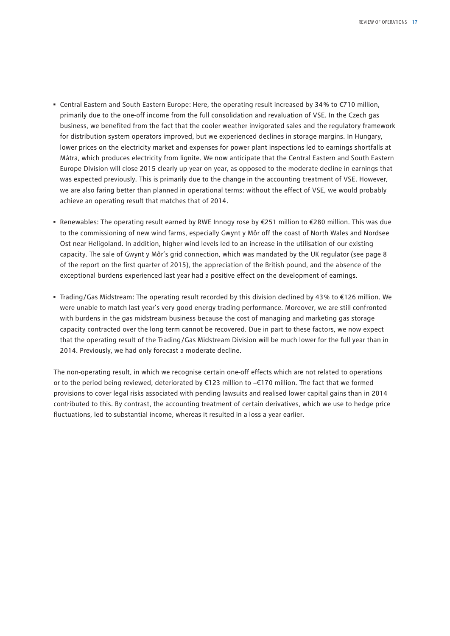- Central Eastern and South Eastern Europe: Here, the operating result increased by 34 % to €710 million, primarily due to the one-off income from the full consolidation and revaluation of VSE. In the Czech gas business, we benefited from the fact that the cooler weather invigorated sales and the regulatory framework for distribution system operators improved, but we experienced declines in storage margins. In Hungary, lower prices on the electricity market and expenses for power plant inspections led to earnings shortfalls at Mátra, which produces electricity from lignite. We now anticipate that the Central Eastern and South Eastern Europe Division will close 2015 clearly up year on year, as opposed to the moderate decline in earnings that was expected previously. This is primarily due to the change in the accounting treatment of VSE. However, we are also faring better than planned in operational terms: without the effect of VSE, we would probably achieve an operating result that matches that of 2014.
- Renewables: The operating result earned by RWE Innogy rose by €251 million to €280 million. This was due to the commissioning of new wind farms, especially Gwynt y Môr off the coast of North Wales and Nordsee Ost near Heligoland. In addition, higher wind levels led to an increase in the utilisation of our existing capacity. The sale of Gwynt y Môr's grid connection, which was mandated by the UK regulator (see page 8 of the report on the first quarter of 2015), the appreciation of the British pound, and the absence of the exceptional burdens experienced last year had a positive effect on the development of earnings.
- Trading/Gas Midstream: The operating result recorded by this division declined by 43 % to €126 million. We were unable to match last year's very good energy trading performance. Moreover, we are still confronted with burdens in the gas midstream business because the cost of managing and marketing gas storage capacity contracted over the long term cannot be recovered. Due in part to these factors, we now expect that the operating result of the Trading/Gas Midstream Division will be much lower for the full year than in 2014. Previously, we had only forecast a moderate decline.

The non-operating result, in which we recognise certain one-off effects which are not related to operations or to the period being reviewed, deteriorated by €123 million to −€170 million. The fact that we formed provisions to cover legal risks associated with pending lawsuits and realised lower capital gains than in 2014 contributed to this. By contrast, the accounting treatment of certain derivatives, which we use to hedge price fluctuations, led to substantial income, whereas it resulted in a loss a year earlier.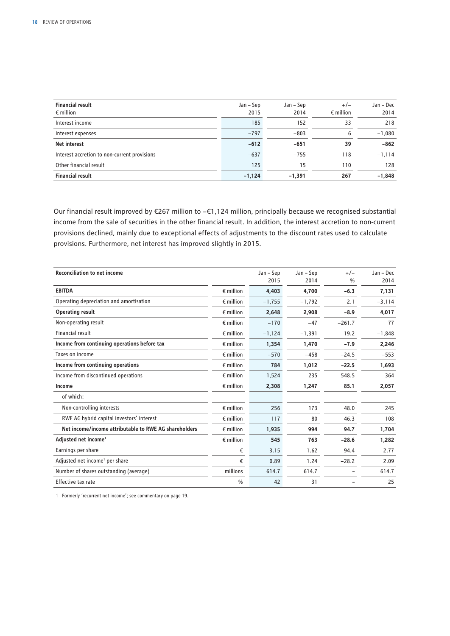| <b>Financial result</b><br>$\epsilon$ million | Jan – Sep<br>2015 | Jan – Sep<br>2014 | $+/-$<br>$\epsilon$ million | Jan – Dec<br>2014 |
|-----------------------------------------------|-------------------|-------------------|-----------------------------|-------------------|
| Interest income                               | 185               | 152               | 33                          | 218               |
| Interest expenses                             | $-797$            | $-803$            | 6                           | $-1,080$          |
| <b>Net interest</b>                           | $-612$            | $-651$            | 39                          | $-862$            |
| Interest accretion to non-current provisions  | $-637$            | $-755$            | 118                         | $-1,114$          |
| Other financial result                        | 125               | 15                | 110                         | 128               |
| <b>Financial result</b>                       | $-1,124$          | $-1,391$          | 267                         | $-1,848$          |

Our financial result improved by €267 million to −€1,124 million, principally because we recognised substantial income from the sale of securities in the other financial result. In addition, the interest accretion to non-current provisions declined, mainly due to exceptional effects of adjustments to the discount rates used to calculate provisions. Furthermore, net interest has improved slightly in 2015.

| <b>Reconciliation to net income</b>                   |                    | Jan – Sep | Jan - Sep | $+/-$         | Jan - Dec |
|-------------------------------------------------------|--------------------|-----------|-----------|---------------|-----------|
|                                                       |                    | 2015      | 2014      | $\frac{0}{0}$ | 2014      |
| <b>EBITDA</b>                                         | $\epsilon$ million | 4,403     | 4,700     | $-6.3$        | 7,131     |
| Operating depreciation and amortisation               | $\epsilon$ million | $-1,755$  | $-1,792$  | 2.1           | $-3,114$  |
| <b>Operating result</b>                               | $\epsilon$ million | 2,648     | 2,908     | $-8.9$        | 4,017     |
| Non-operating result                                  | $\epsilon$ million | $-170$    | $-47$     | $-261.7$      | 77        |
| Financial result                                      | $\epsilon$ million | $-1,124$  | $-1,391$  | 19.2          | $-1,848$  |
| Income from continuing operations before tax          | $\epsilon$ million | 1,354     | 1,470     | $-7.9$        | 2,246     |
| Taxes on income                                       | $\epsilon$ million | $-570$    | $-458$    | $-24.5$       | $-553$    |
| Income from continuing operations                     | $\epsilon$ million | 784       | 1,012     | $-22.5$       | 1,693     |
| Income from discontinued operations                   | $\epsilon$ million | 1,524     | 235       | 548.5         | 364       |
| Income                                                | $\epsilon$ million | 2,308     | 1,247     | 85.1          | 2,057     |
| of which:                                             |                    |           |           |               |           |
| Non-controlling interests                             | $\epsilon$ million | 256       | 173       | 48.0          | 245       |
| RWE AG hybrid capital investors' interest             | $\epsilon$ million | 117       | 80        | 46.3          | 108       |
| Net income/income attributable to RWE AG shareholders | $\epsilon$ million | 1,935     | 994       | 94.7          | 1,704     |
| Adjusted net income <sup>1</sup>                      | $\epsilon$ million | 545       | 763       | $-28.6$       | 1,282     |
| Earnings per share                                    | €                  | 3.15      | 1.62      | 94.4          | 2.77      |
| Adjusted net income <sup>1</sup> per share            | €                  | 0.89      | 1.24      | $-28.2$       | 2.09      |
| Number of shares outstanding (average)                | millions           | 614.7     | 614.7     |               | 614.7     |
| Effective tax rate                                    | $\frac{0}{0}$      | 42        | 31        |               | 25        |

1 Formerly 'recurrent net income'; see commentary on page 19.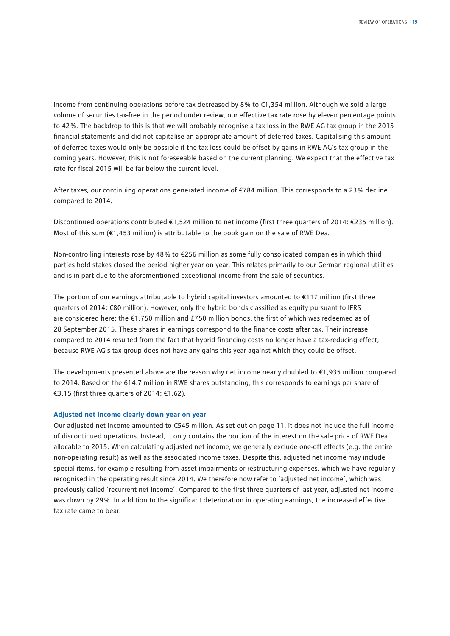Income from continuing operations before tax decreased by 8 % to €1,354 million. Although we sold a large volume of securities tax-free in the period under review, our effective tax rate rose by eleven percentage points to 42 %. The backdrop to this is that we will probably recognise a tax loss in the RWE AG tax group in the 2015 financial statements and did not capitalise an appropriate amount of deferred taxes. Capitalising this amount of deferred taxes would only be possible if the tax loss could be offset by gains in RWE AG's tax group in the coming years. However, this is not foreseeable based on the current planning. We expect that the effective tax rate for fiscal 2015 will be far below the current level.

After taxes, our continuing operations generated income of €784 million. This corresponds to a 23 % decline compared to 2014.

Discontinued operations contributed €1,524 million to net income (first three quarters of 2014: €235 million). Most of this sum (€1,453 million) is attributable to the book gain on the sale of RWE Dea.

Non-controlling interests rose by 48 % to €256 million as some fully consolidated companies in which third parties hold stakes closed the period higher year on year. This relates primarily to our German regional utilities and is in part due to the aforementioned exceptional income from the sale of securities.

The portion of our earnings attributable to hybrid capital investors amounted to €117 million (first three quarters of 2014: €80 million). However, only the hybrid bonds classified as equity pursuant to IFRS are considered here: the €1,750 million and £750 million bonds, the first of which was redeemed as of 28 September 2015. These shares in earnings correspond to the finance costs after tax. Their increase compared to 2014 resulted from the fact that hybrid financing costs no longer have a tax-reducing effect, because RWE AG's tax group does not have any gains this year against which they could be offset.

The developments presented above are the reason why net income nearly doubled to €1,935 million compared to 2014. Based on the 614.7 million in RWE shares outstanding, this corresponds to earnings per share of €3.15 (first three quarters of 2014: €1.62).

#### **Adjusted net income clearly down year on year**

Our adjusted net income amounted to €545 million. As set out on page 11, it does not include the full income of discontinued operations. Instead, it only contains the portion of the interest on the sale price of RWE Dea allocable to 2015. When calculating adjusted net income, we generally exclude one-off effects (e.g. the entire non-operating result) as well as the associated income taxes. Despite this, adjusted net income may include special items, for example resulting from asset impairments or restructuring expenses, which we have regularly recognised in the operating result since 2014. We therefore now refer to 'adjusted net income', which was previously called 'recurrent net income'. Compared to the first three quarters of last year, adjusted net income was down by 29 %. In addition to the significant deterioration in operating earnings, the increased effective tax rate came to bear.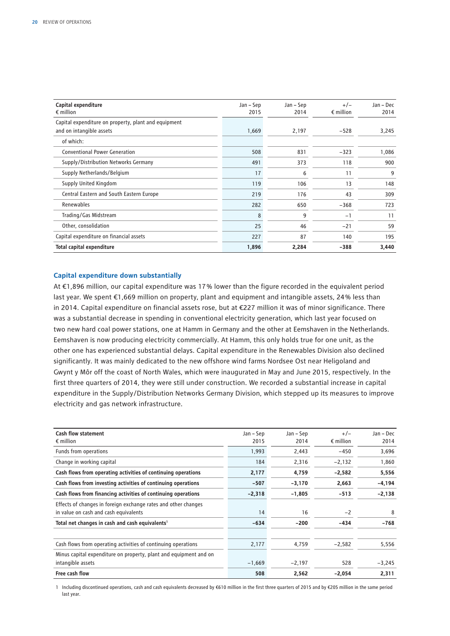| Capital expenditure                                  | Jan – Sep | Jan – Sep | $+/-$              | Jan - Dec |
|------------------------------------------------------|-----------|-----------|--------------------|-----------|
| $\epsilon$ million                                   | 2015      | 2014      | $\epsilon$ million | 2014      |
| Capital expenditure on property, plant and equipment |           |           |                    |           |
| and on intangible assets                             | 1,669     | 2,197     | $-528$             | 3,245     |
| of which:                                            |           |           |                    |           |
| <b>Conventional Power Generation</b>                 | 508       | 831       | $-323$             | 1,086     |
| Supply/Distribution Networks Germany                 | 491       | 373       | 118                | 900       |
| Supply Netherlands/Belgium                           | 17        | 6         | 11                 | 9         |
| Supply United Kingdom                                | 119       | 106       | 13                 | 148       |
| Central Eastern and South Eastern Europe             | 219       | 176       | 43                 | 309       |
| Renewables                                           | 282       | 650       | $-368$             | 723       |
| Trading/Gas Midstream                                | 8         | 9         | $-1$               | 11        |
| Other, consolidation                                 | 25        | 46        | $-21$              | 59        |
| Capital expenditure on financial assets              | 227       | 87        | 140                | 195       |
| Total capital expenditure                            | 1,896     | 2,284     | $-388$             | 3,440     |

#### **Capital expenditure down substantially**

At €1,896 million, our capital expenditure was 17 % lower than the figure recorded in the equivalent period last year. We spent €1,669 million on property, plant and equipment and intangible assets, 24 % less than in 2014. Capital expenditure on financial assets rose, but at €227 million it was of minor significance. There was a substantial decrease in spending in conventional electricity generation, which last year focused on two new hard coal power stations, one at Hamm in Germany and the other at Eemshaven in the Netherlands. Eemshaven is now producing electricity commercially. At Hamm, this only holds true for one unit, as the other one has experienced substantial delays. Capital expenditure in the Renewables Division also declined significantly. It was mainly dedicated to the new offshore wind farms Nordsee Ost near Heligoland and Gwynt y Môr off the coast of North Wales, which were inaugurated in May and June 2015, respectively. In the first three quarters of 2014, they were still under construction. We recorded a substantial increase in capital expenditure in the Supply/Distribution Networks Germany Division, which stepped up its measures to improve electricity and gas network infrastructure.

| <b>Cash flow statement</b>                                        | Jan – Sep | Jan – Sep | $+/-$              | Jan – Dec |
|-------------------------------------------------------------------|-----------|-----------|--------------------|-----------|
| $\epsilon$ million                                                | 2015      | 2014      | $\epsilon$ million | 2014      |
| Funds from operations                                             | 1,993     | 2,443     | $-450$             | 3,696     |
| Change in working capital                                         | 184       | 2,316     | $-2,132$           | 1,860     |
| Cash flows from operating activities of continuing operations     | 2,177     | 4,759     | $-2,582$           | 5,556     |
| Cash flows from investing activities of continuing operations     | $-507$    | $-3,170$  | 2,663              | $-4,194$  |
| Cash flows from financing activities of continuing operations     | $-2,318$  | $-1,805$  | $-513$             | $-2,138$  |
| Effects of changes in foreign exchange rates and other changes    |           |           |                    |           |
| in value on cash and cash equivalents                             | 14        | 16        | $-2$               | 8         |
| Total net changes in cash and cash equivalents <sup>1</sup>       | $-634$    | $-200$    | $-434$             | $-768$    |
| Cash flows from operating activities of continuing operations     | 2,177     | 4,759     | $-2,582$           | 5,556     |
| Minus capital expenditure on property, plant and equipment and on |           |           |                    |           |
| intangible assets                                                 | $-1,669$  | $-2,197$  | 528                | $-3,245$  |
| Free cash flow                                                    | 508       | 2,562     | $-2,054$           | 2,311     |

1 Including discontinued operations, cash and cash equivalents decreased by €610 million in the first three quarters of 2015 and by €205 million in the same period last year.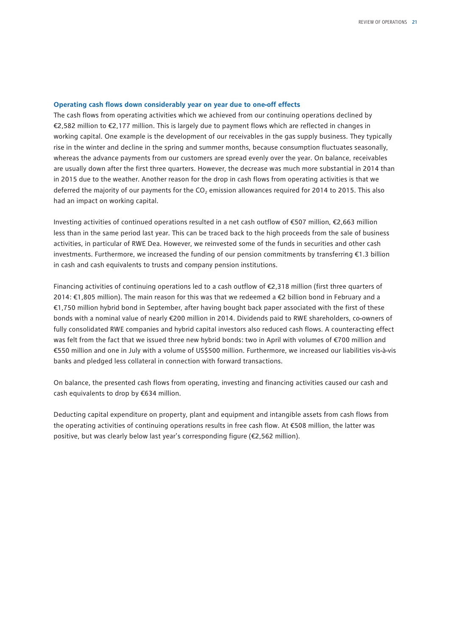#### **Operating cash flows down considerably year on year due to one-off effects**

The cash flows from operating activities which we achieved from our continuing operations declined by €2,582 million to €2,177 million. This is largely due to payment flows which are reflected in changes in working capital. One example is the development of our receivables in the gas supply business. They typically rise in the winter and decline in the spring and summer months, because consumption fluctuates seasonally, whereas the advance payments from our customers are spread evenly over the year. On balance, receivables are usually down after the first three quarters. However, the decrease was much more substantial in 2014 than in 2015 due to the weather. Another reason for the drop in cash flows from operating activities is that we deferred the majority of our payments for the CO<sub>2</sub> emission allowances required for 2014 to 2015. This also had an impact on working capital.

Investing activities of continued operations resulted in a net cash outflow of €507 million, €2,663 million less than in the same period last year. This can be traced back to the high proceeds from the sale of business activities, in particular of RWE Dea. However, we reinvested some of the funds in securities and other cash investments. Furthermore, we increased the funding of our pension commitments by transferring €1.3 billion in cash and cash equivalents to trusts and company pension institutions.

Financing activities of continuing operations led to a cash outflow of €2,318 million (first three quarters of 2014: €1,805 million). The main reason for this was that we redeemed a €2 billion bond in February and a €1,750 million hybrid bond in September, after having bought back paper associated with the first of these bonds with a nominal value of nearly €200 million in 2014. Dividends paid to RWE shareholders, co-owners of fully consolidated RWE companies and hybrid capital investors also reduced cash flows. A counteracting effect was felt from the fact that we issued three new hybrid bonds: two in April with volumes of €700 million and €550 million and one in July with a volume of US\$500 million. Furthermore, we increased our liabilities vis-à-vis banks and pledged less collateral in connection with forward transactions.

On balance, the presented cash flows from operating, investing and financing activities caused our cash and cash equivalents to drop by €634 million.

Deducting capital expenditure on property, plant and equipment and intangible assets from cash flows from the operating activities of continuing operations results in free cash flow. At €508 million, the latter was positive, but was clearly below last year's corresponding figure (€2,562 million).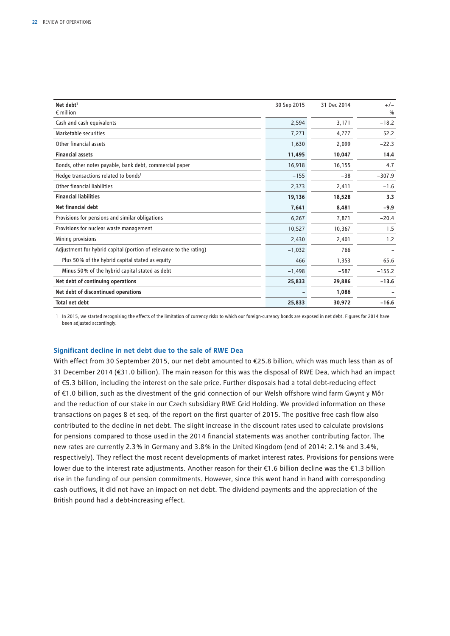| Net debt <sup>1</sup>                                              | 30 Sep 2015 | 31 Dec 2014 | $+/-$         |
|--------------------------------------------------------------------|-------------|-------------|---------------|
| $\epsilon$ million                                                 |             |             | $\frac{0}{0}$ |
| Cash and cash equivalents                                          | 2,594       | 3,171       | $-18.2$       |
| Marketable securities                                              | 7,271       | 4,777       | 52.2          |
| Other financial assets                                             | 1,630       | 2,099       | $-22.3$       |
| <b>Financial assets</b>                                            | 11,495      | 10,047      | 14.4          |
| Bonds, other notes payable, bank debt, commercial paper            | 16,918      | 16,155      | 4.7           |
| Hedge transactions related to bonds <sup>1</sup>                   | $-155$      | $-38$       | $-307.9$      |
| Other financial liabilities                                        | 2,373       | 2,411       | $-1.6$        |
| <b>Financial liabilities</b>                                       | 19,136      | 18,528      | 3.3           |
| <b>Net financial debt</b>                                          | 7,641       | 8,481       | $-9.9$        |
| Provisions for pensions and similar obligations                    | 6,267       | 7,871       | $-20.4$       |
| Provisions for nuclear waste management                            | 10,527      | 10,367      | 1.5           |
| Mining provisions                                                  | 2,430       | 2,401       | 1.2           |
| Adjustment for hybrid capital (portion of relevance to the rating) | $-1,032$    | 766         |               |
| Plus 50% of the hybrid capital stated as equity                    | 466         | 1,353       | $-65.6$       |
| Minus 50% of the hybrid capital stated as debt                     | $-1,498$    | $-587$      | $-155.2$      |
| Net debt of continuing operations                                  | 25,833      | 29,886      | $-13.6$       |
| Net debt of discontinued operations                                |             | 1,086       |               |
| <b>Total net debt</b>                                              | 25,833      | 30,972      | $-16.6$       |

1 In 2015, we started recognising the effects of the limitation of currency risks to which our foreign-currency bonds are exposed in net debt. Figures for 2014 have been adjusted accordingly.

#### **Significant decline in net debt due to the sale of RWE Dea**

With effect from 30 September 2015, our net debt amounted to €25.8 billion, which was much less than as of 31 December 2014 (€31.0 billion). The main reason for this was the disposal of RWE Dea, which had an impact of €5.3 billion, including the interest on the sale price. Further disposals had a total debt-reducing effect of €1.0 billion, such as the divestment of the grid connection of our Welsh offshore wind farm Gwynt y Môr and the reduction of our stake in our Czech subsidiary RWE Grid Holding. We provided information on these transactions on pages 8 et seq. of the report on the first quarter of 2015. The positive free cash flow also contributed to the decline in net debt. The slight increase in the discount rates used to calculate provisions for pensions compared to those used in the 2014 financial statements was another contributing factor. The new rates are currently 2.3 % in Germany and 3.8 % in the United Kingdom (end of 2014: 2.1 % and 3.4 %, respectively). They reflect the most recent developments of market interest rates. Provisions for pensions were lower due to the interest rate adjustments. Another reason for their €1.6 billion decline was the €1.3 billion rise in the funding of our pension commitments. However, since this went hand in hand with corresponding cash outflows, it did not have an impact on net debt. The dividend payments and the appreciation of the British pound had a debt-increasing effect.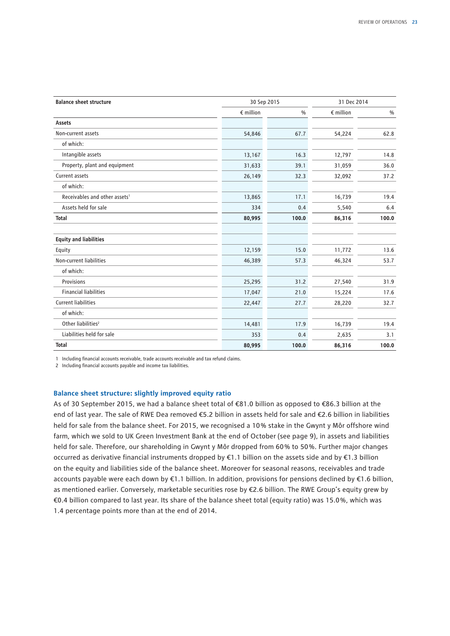| <b>Balance sheet structure</b>            |                    | 30 Sep 2015 |                    | 31 Dec 2014   |  |
|-------------------------------------------|--------------------|-------------|--------------------|---------------|--|
|                                           | $\epsilon$ million | $\%$        | $\epsilon$ million | $\frac{0}{0}$ |  |
| Assets                                    |                    |             |                    |               |  |
| Non-current assets                        | 54,846             | 67.7        | 54,224             | 62.8          |  |
| of which:                                 |                    |             |                    |               |  |
| Intangible assets                         | 13,167             | 16.3        | 12,797             | 14.8          |  |
| Property, plant and equipment             | 31,633             | 39.1        | 31,059             | 36.0          |  |
| Current assets                            | 26,149             | 32.3        | 32,092             | 37.2          |  |
| of which:                                 |                    |             |                    |               |  |
| Receivables and other assets <sup>1</sup> | 13,865             | 17.1        | 16,739             | 19.4          |  |
| Assets held for sale                      | 334                | 0.4         | 5,540              | 6.4           |  |
| <b>Total</b>                              | 80,995             | 100.0       | 86,316             | 100.0         |  |
| <b>Equity and liabilities</b>             |                    |             |                    |               |  |
| Equity                                    | 12,159             | 15.0        | 11,772             | 13.6          |  |
| Non-current liabilities                   | 46,389             | 57.3        | 46,324             | 53.7          |  |
| of which:                                 |                    |             |                    |               |  |
| Provisions                                | 25,295             | 31.2        | 27,540             | 31.9          |  |
| <b>Financial liabilities</b>              | 17,047             | 21.0        | 15,224             | 17.6          |  |
| <b>Current liabilities</b>                | 22,447             | 27.7        | 28,220             | 32.7          |  |
| of which:                                 |                    |             |                    |               |  |
| Other liabilities <sup>2</sup>            | 14,481             | 17.9        | 16,739             | 19.4          |  |
| Liabilities held for sale                 | 353                | 0.4         | 2,635              | 3.1           |  |
| <b>Total</b>                              | 80,995             | 100.0       | 86,316             | 100.0         |  |

1 Including financial accounts receivable, trade accounts receivable and tax refund claims.

2 Including financial accounts payable and income tax liabilities.

#### **Balance sheet structure: slightly improved equity ratio**

As of 30 September 2015, we had a balance sheet total of €81.0 billion as opposed to €86.3 billion at the end of last year. The sale of RWE Dea removed €5.2 billion in assets held for sale and €2.6 billion in liabilities held for sale from the balance sheet. For 2015, we recognised a 10% stake in the Gwynt y Môr offshore wind farm, which we sold to UK Green Investment Bank at the end of October (see page 9), in assets and liabilities held for sale. Therefore, our shareholding in Gwynt y Môr dropped from 60% to 50%. Further major changes occurred as derivative financial instruments dropped by €1.1 billion on the assets side and by €1.3 billion on the equity and liabilities side of the balance sheet. Moreover for seasonal reasons, receivables and trade accounts payable were each down by €1.1 billion. In addition, provisions for pensions declined by €1.6 billion, as mentioned earlier. Conversely, marketable securities rose by €2.6 billion. The RWE Group's equity grew by €0.4 billion compared to last year. Its share of the balance sheet total (equity ratio) was 15.0 %, which was 1.4 percentage points more than at the end of 2014.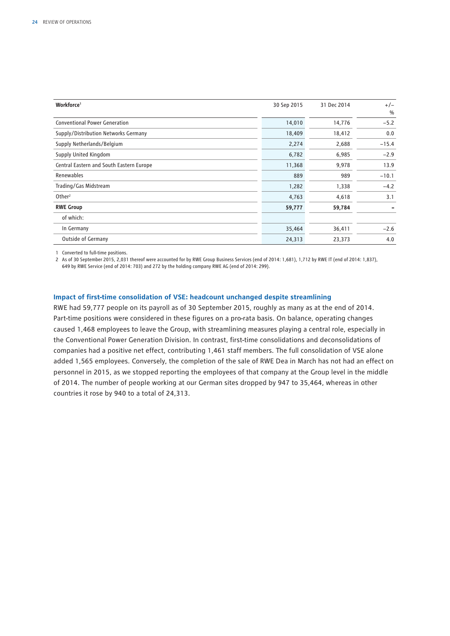| Workforce <sup>1</sup>                   | 30 Sep 2015 | 31 Dec 2014 | $+/-$<br>$\frac{0}{0}$ |
|------------------------------------------|-------------|-------------|------------------------|
| <b>Conventional Power Generation</b>     | 14,010      | 14,776      | $-5.2$                 |
| Supply/Distribution Networks Germany     | 18,409      | 18,412      | 0.0                    |
| Supply Netherlands/Belgium               | 2,274       | 2,688       | $-15.4$                |
| Supply United Kingdom                    | 6,782       | 6,985       | $-2.9$                 |
| Central Eastern and South Eastern Europe | 11,368      | 9,978       | 13.9                   |
| Renewables                               | 889         | 989         | $-10.1$                |
| Trading/Gas Midstream                    | 1,282       | 1,338       | $-4.2$                 |
| Other <sup>2</sup>                       | 4,763       | 4,618       | 3.1                    |
| <b>RWE Group</b>                         | 59,777      | 59,784      |                        |
| of which:                                |             |             |                        |
| In Germany                               | 35,464      | 36,411      | $-2.6$                 |
| <b>Outside of Germany</b>                | 24,313      | 23,373      | 4.0                    |

1 Converted to full-time positions.

2 As of 30 September 2015, 2,031 thereof were accounted for by RWE Group Business Services (end of 2014: 1,681), 1,712 by RWE IT (end of 2014: 1,837), 649 by RWE Service (end of 2014: 703) and 272 by the holding company RWE AG (end of 2014: 299).

#### **Impact of first-time consolidation of VSE: headcount unchanged despite streamlining**

RWE had 59,777 people on its payroll as of 30 September 2015, roughly as many as at the end of 2014. Part-time positions were considered in these figures on a pro-rata basis. On balance, operating changes caused 1,468 employees to leave the Group, with streamlining measures playing a central role, especially in the Conventional Power Generation Division. In contrast, first-time consolidations and deconsolidations of companies had a positive net effect, contributing 1,461 staff members. The full consolidation of VSE alone added 1,565 employees. Conversely, the completion of the sale of RWE Dea in March has not had an effect on personnel in 2015, as we stopped reporting the employees of that company at the Group level in the middle of 2014. The number of people working at our German sites dropped by 947 to 35,464, whereas in other countries it rose by 940 to a total of 24,313.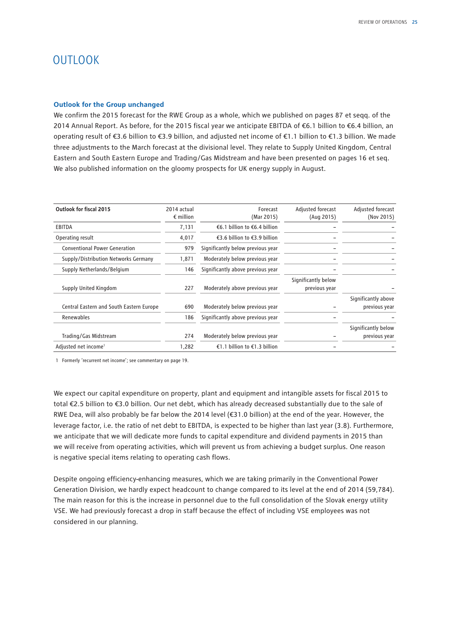## **OUTLOOK**

#### **Outlook for the Group unchanged**

We confirm the 2015 forecast for the RWE Group as a whole, which we published on pages 87 et seqq. of the 2014 Annual Report. As before, for the 2015 fiscal year we anticipate EBITDA of €6.1 billion to €6.4 billion, an operating result of €3.6 billion to €3.9 billion, and adjusted net income of €1.1 billion to €1.3 billion. We made three adjustments to the March forecast at the divisional level. They relate to Supply United Kingdom, Central Eastern and South Eastern Europe and Trading/Gas Midstream and have been presented on pages 16 et seq. We also published information on the gloomy prospects for UK energy supply in August.

| Outlook for fiscal 2015                  | 2014 actual<br>$\epsilon$ million | Forecast<br>(Mar 2015)            | Adjusted forecast<br>(Aug 2015)      | Adjusted forecast<br>(Nov 2015)      |
|------------------------------------------|-----------------------------------|-----------------------------------|--------------------------------------|--------------------------------------|
| <b>EBITDA</b>                            | 7,131                             | €6.1 billion to €6.4 billion      |                                      |                                      |
| Operating result                         | 4,017                             | €3.6 billion to €3.9 billion      |                                      |                                      |
| <b>Conventional Power Generation</b>     | 979                               | Significantly below previous year |                                      |                                      |
| Supply/Distribution Networks Germany     | 1,871                             | Moderately below previous year    |                                      |                                      |
| Supply Netherlands/Belgium               | 146                               | Significantly above previous year |                                      |                                      |
| Supply United Kingdom                    | 227                               | Moderately above previous year    | Significantly below<br>previous year |                                      |
| Central Eastern and South Eastern Europe | 690                               | Moderately below previous year    |                                      | Significantly above<br>previous year |
| Renewables                               | 186                               | Significantly above previous year |                                      |                                      |
|                                          |                                   |                                   |                                      | Significantly below                  |
| Trading/Gas Midstream                    | 274                               | Moderately below previous year    |                                      | previous year                        |
| Adjusted net income <sup>1</sup>         | 1,282                             | €1.1 billion to €1.3 billion      |                                      |                                      |

1 Formerly 'recurrent net income'; see commentary on page 19.

We expect our capital expenditure on property, plant and equipment and intangible assets for fiscal 2015 to total €2.5 billion to €3.0 billion. Our net debt, which has already decreased substantially due to the sale of RWE Dea, will also probably be far below the 2014 level (€31.0 billion) at the end of the year. However, the leverage factor, i.e. the ratio of net debt to EBITDA, is expected to be higher than last year (3.8). Furthermore, we anticipate that we will dedicate more funds to capital expenditure and dividend payments in 2015 than we will receive from operating activities, which will prevent us from achieving a budget surplus. One reason is negative special items relating to operating cash flows.

Despite ongoing efficiency-enhancing measures, which we are taking primarily in the Conventional Power Generation Division, we hardly expect headcount to change compared to its level at the end of 2014 (59,784). The main reason for this is the increase in personnel due to the full consolidation of the Slovak energy utility VSE. We had previously forecast a drop in staff because the effect of including VSE employees was not considered in our planning.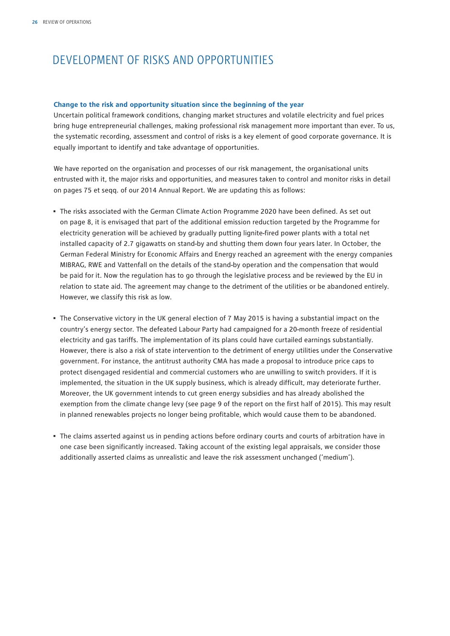## DEVELOPMENT OF RISKS AND OPPORTUNITIES

#### **Change to the risk and opportunity situation since the beginning of the year**

Uncertain political framework conditions, changing market structures and volatile electricity and fuel prices bring huge entrepreneurial challenges, making professional risk management more important than ever. To us, the systematic recording, assessment and control of risks is a key element of good corporate governance. It is equally important to identify and take advantage of opportunities.

We have reported on the organisation and processes of our risk management, the organisational units entrusted with it, the major risks and opportunities, and measures taken to control and monitor risks in detail on pages 75 et seqq. of our 2014 Annual Report. We are updating this as follows:

- The risks associated with the German Climate Action Programme 2020 have been defined. As set out on page 8, it is envisaged that part of the additional emission reduction targeted by the Programme for electricity generation will be achieved by gradually putting lignite-fired power plants with a total net installed capacity of 2.7 gigawatts on stand-by and shutting them down four years later. In October, the German Federal Ministry for Economic Affairs and Energy reached an agreement with the energy companies MIBRAG, RWE and Vattenfall on the details of the stand-by operation and the compensation that would be paid for it. Now the regulation has to go through the legislative process and be reviewed by the EU in relation to state aid. The agreement may change to the detriment of the utilities or be abandoned entirely. However, we classify this risk as low.
- The Conservative victory in the UK general election of 7 May 2015 is having a substantial impact on the country's energy sector. The defeated Labour Party had campaigned for a 20-month freeze of residential electricity and gas tariffs. The implementation of its plans could have curtailed earnings substantially. However, there is also a risk of state intervention to the detriment of energy utilities under the Conservative government. For instance, the antitrust authority CMA has made a proposal to introduce price caps to protect disengaged residential and commercial customers who are unwilling to switch providers. If it is implemented, the situation in the UK supply business, which is already difficult, may deteriorate further. Moreover, the UK government intends to cut green energy subsidies and has already abolished the exemption from the climate change levy (see page 9 of the report on the first half of 2015). This may result in planned renewables projects no longer being profitable, which would cause them to be abandoned.
- The claims asserted against us in pending actions before ordinary courts and courts of arbitration have in one case been significantly increased. Taking account of the existing legal appraisals, we consider those additionally asserted claims as unrealistic and leave the risk assessment unchanged ('medium').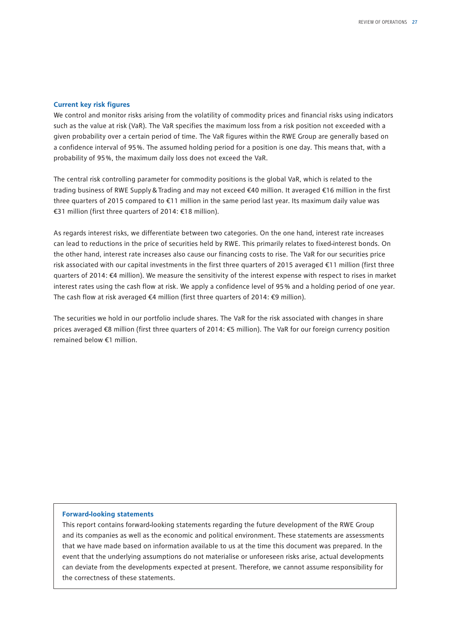#### **Current key risk figures**

We control and monitor risks arising from the volatility of commodity prices and financial risks using indicators such as the value at risk (VaR). The VaR specifies the maximum loss from a risk position not exceeded with a given probability over a certain period of time. The VaR figures within the RWE Group are generally based on a confidence interval of 95 %. The assumed holding period for a position is one day. This means that, with a probability of 95 %, the maximum daily loss does not exceed the VaR.

The central risk controlling parameter for commodity positions is the global VaR, which is related to the trading business of RWE Supply&Trading and may not exceed €40 million. It averaged €16 million in the first three quarters of 2015 compared to €11 million in the same period last year. Its maximum daily value was €31 million (first three quarters of 2014: €18 million).

As regards interest risks, we differentiate between two categories. On the one hand, interest rate increases can lead to reductions in the price of securities held by RWE. This primarily relates to fixed-interest bonds. On the other hand, interest rate increases also cause our financing costs to rise. The VaR for our securities price risk associated with our capital investments in the first three quarters of 2015 averaged €11 million (first three quarters of 2014: €4 million). We measure the sensitivity of the interest expense with respect to rises in market interest rates using the cash flow at risk. We apply a confidence level of 95 % and a holding period of one year. The cash flow at risk averaged €4 million (first three quarters of 2014: €9 million).

The securities we hold in our portfolio include shares. The VaR for the risk associated with changes in share prices averaged €8 million (first three quarters of 2014: €5 million). The VaR for our foreign currency position remained below €1 million.

#### **Forward-looking statements**

This report contains forward-looking statements regarding the future development of the RWE Group and its companies as well as the economic and political environment. These statements are assessments that we have made based on information available to us at the time this document was prepared. In the event that the underlying assumptions do not materialise or unforeseen risks arise, actual developments can deviate from the developments expected at present. Therefore, we cannot assume responsibility for the correctness of these statements.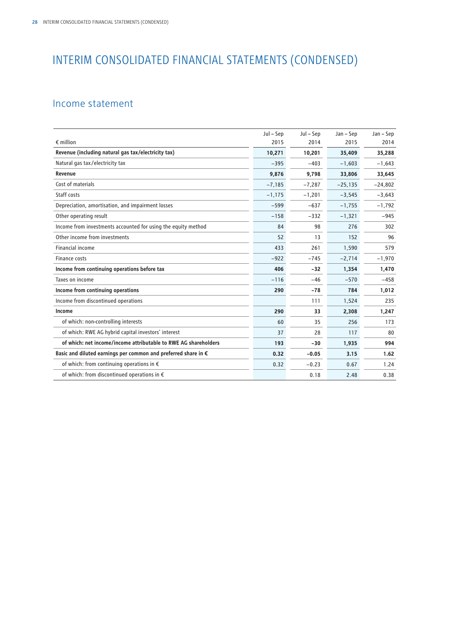## INTERIM CONSOLIDATED FINANCIAL STATEMENTS (CONDENSED)

### Income statement

|                                                                         | Jul – Sep | Jul – Sep | Jan - Sep | Jan – Sep |
|-------------------------------------------------------------------------|-----------|-----------|-----------|-----------|
| $\epsilon$ million                                                      | 2015      | 2014      | 2015      | 2014      |
| Revenue (including natural gas tax/electricity tax)                     | 10,271    | 10,201    | 35,409    | 35,288    |
| Natural gas tax/electricity tax                                         | $-395$    | $-403$    | $-1,603$  | $-1,643$  |
| Revenue                                                                 | 9,876     | 9,798     | 33,806    | 33,645    |
| Cost of materials                                                       | $-7,185$  | $-7,287$  | $-25,135$ | $-24,802$ |
| Staff costs                                                             | $-1,175$  | $-1,201$  | $-3,545$  | $-3,643$  |
| Depreciation, amortisation, and impairment losses                       | $-599$    | $-637$    | $-1,755$  | $-1,792$  |
| Other operating result                                                  | $-158$    | $-332$    | $-1,321$  | $-945$    |
| Income from investments accounted for using the equity method           | 84        | 98        | 276       | 302       |
| Other income from investments                                           | 52        | 13        | 152       | 96        |
| <b>Financial income</b>                                                 | 433       | 261       | 1,590     | 579       |
| Finance costs                                                           | $-922$    | $-745$    | $-2,714$  | $-1,970$  |
| Income from continuing operations before tax                            | 406       | $-32$     | 1,354     | 1,470     |
| Taxes on income                                                         | $-116$    | $-46$     | $-570$    | $-458$    |
| Income from continuing operations                                       | 290       | $-78$     | 784       | 1,012     |
| Income from discontinued operations                                     |           | 111       | 1,524     | 235       |
| Income                                                                  | 290       | 33        | 2,308     | 1,247     |
| of which: non-controlling interests                                     | 60        | 35        | 256       | 173       |
| of which: RWE AG hybrid capital investors' interest                     | 37        | 28        | 117       | 80        |
| of which: net income/income attributable to RWE AG shareholders         | 193       | $-30$     | 1,935     | 994       |
| Basic and diluted earnings per common and preferred share in $\epsilon$ | 0.32      | $-0.05$   | 3.15      | 1.62      |
| of which: from continuing operations in $\epsilon$                      | 0.32      | $-0.23$   | 0.67      | 1.24      |
| of which: from discontinued operations in €                             |           | 0.18      | 2.48      | 0.38      |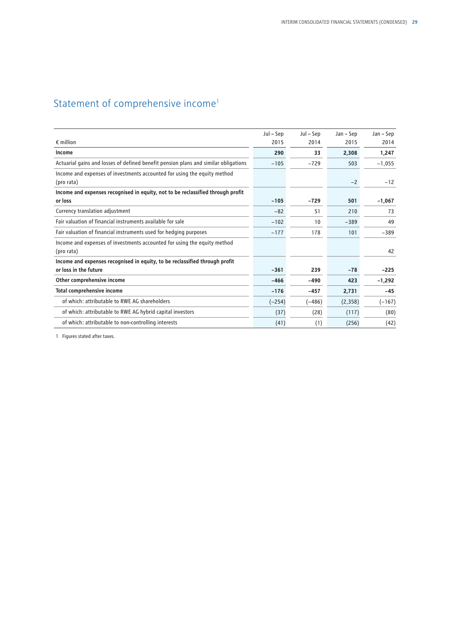## Statement of comprehensive income<sup>1</sup>

|                                                                                        | Jul – Sep | Jul – Sep | Jan – Sep | Jan – Sep |
|----------------------------------------------------------------------------------------|-----------|-----------|-----------|-----------|
| $\epsilon$ million                                                                     | 2015      | 2014      | 2015      | 2014      |
| Income                                                                                 | 290       | 33        | 2,308     | 1,247     |
| Actuarial gains and losses of defined benefit pension plans and similar obligations    | $-105$    | $-729$    | 503       | $-1,055$  |
| Income and expenses of investments accounted for using the equity method<br>(pro rata) |           |           | $-2$      | $-12$     |
| Income and expenses recognised in equity, not to be reclassified through profit        |           |           |           |           |
| or loss                                                                                | $-105$    | $-729$    | 501       | $-1,067$  |
| Currency translation adjustment                                                        | $-82$     | 51        | 210       | 73        |
| Fair valuation of financial instruments available for sale                             | $-102$    | 10        | $-389$    | 49        |
| Fair valuation of financial instruments used for hedging purposes                      | $-177$    | 178       | 101       | $-389$    |
| Income and expenses of investments accounted for using the equity method<br>(pro rata) |           |           |           | 42        |
| Income and expenses recognised in equity, to be reclassified through profit            |           |           |           |           |
| or loss in the future                                                                  | $-361$    | 239       | $-78$     | $-225$    |
| Other comprehensive income                                                             | $-466$    | $-490$    | 423       | $-1,292$  |
| Total comprehensive income                                                             | $-176$    | -457      | 2,731     | $-45$     |
| of which: attributable to RWE AG shareholders                                          | $(-254)$  | $(-486)$  | (2,358)   | $(-167)$  |
| of which: attributable to RWE AG hybrid capital investors                              | (37)      | (28)      | (117)     | (80)      |
| of which: attributable to non-controlling interests                                    | (41)      | (1)       | (256)     | (42)      |

1 Figures stated after taxes.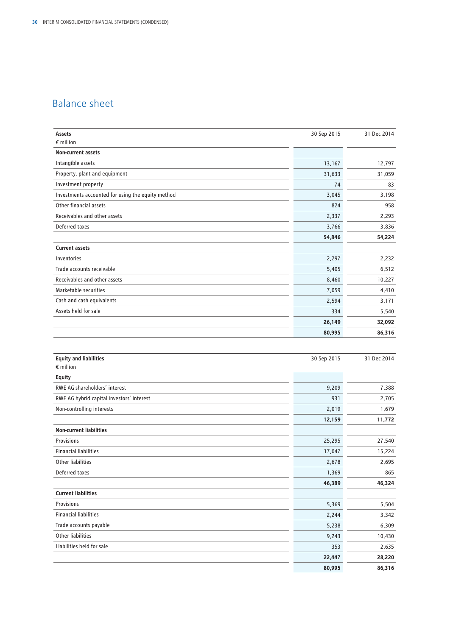## Balance sheet

| <b>Assets</b>                                     | 30 Sep 2015 | 31 Dec 2014 |
|---------------------------------------------------|-------------|-------------|
| $\epsilon$ million                                |             |             |
| <b>Non-current assets</b>                         |             |             |
| Intangible assets                                 | 13,167      | 12,797      |
| Property, plant and equipment                     | 31,633      | 31,059      |
| Investment property                               | 74          | 83          |
| Investments accounted for using the equity method | 3,045       | 3,198       |
| Other financial assets                            | 824         | 958         |
| Receivables and other assets                      | 2,337       | 2,293       |
| Deferred taxes                                    | 3,766       | 3,836       |
|                                                   | 54,846      | 54,224      |
| <b>Current assets</b>                             |             |             |
| Inventories                                       | 2,297       | 2,232       |
| Trade accounts receivable                         | 5,405       | 6,512       |
| Receivables and other assets                      | 8,460       | 10,227      |
| Marketable securities                             | 7,059       | 4,410       |
| Cash and cash equivalents                         | 2,594       | 3,171       |
| Assets held for sale                              | 334         | 5,540       |
|                                                   | 26,149      | 32,092      |
|                                                   | 80,995      | 86,316      |
|                                                   |             |             |
| <b>Equity and liabilities</b>                     | 30 Sep 2015 | 31 Dec 2014 |
| $\epsilon$ million                                |             |             |
| <b>Equity</b>                                     |             |             |
| RWE AG shareholders' interest                     | 9,209       | 7,388       |

| <b>IVAL AU SHAICHUIUCIS INCLUST</b>       | <b>J, LUJ</b> | ,,,,,, |
|-------------------------------------------|---------------|--------|
| RWE AG hybrid capital investors' interest | 931           | 2,705  |
| Non-controlling interests                 | 2,019         | 1,679  |
|                                           | 12,159        | 11,772 |
| <b>Non-current liabilities</b>            |               |        |
| Provisions                                | 25,295        | 27,540 |
| <b>Financial liabilities</b>              | 17,047        | 15,224 |
| Other liabilities                         | 2,678         | 2,695  |
| Deferred taxes                            | 1,369         | 865    |
|                                           | 46,389        | 46,324 |
| <b>Current liabilities</b>                |               |        |
| Provisions                                | 5,369         | 5,504  |
| <b>Financial liabilities</b>              | 2,244         | 3,342  |
| Trade accounts payable                    | 5,238         | 6,309  |
| Other liabilities                         | 9,243         | 10,430 |
| Liabilities held for sale                 | 353           | 2,635  |
|                                           | 22,447        | 28,220 |
|                                           | 80,995        | 86,316 |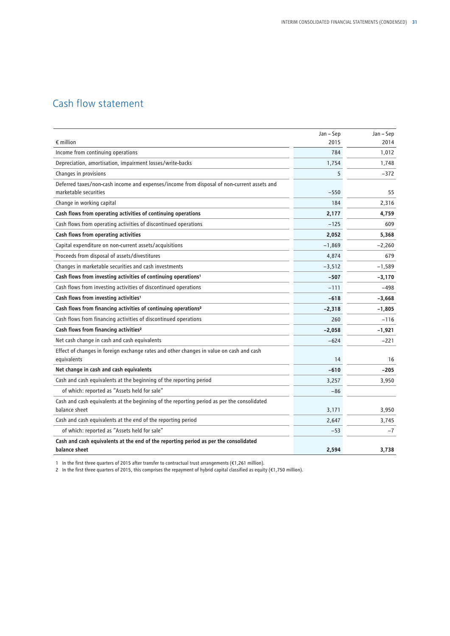## Cash flow statement

|                                                                                                                     | Jan - Sep | Jan - Sep |
|---------------------------------------------------------------------------------------------------------------------|-----------|-----------|
| $\epsilon$ million                                                                                                  | 2015      | 2014      |
| Income from continuing operations                                                                                   | 784       | 1,012     |
| Depreciation, amortisation, impairment losses/write-backs                                                           | 1,754     | 1,748     |
| Changes in provisions                                                                                               | 5         | $-372$    |
| Deferred taxes/non-cash income and expenses/income from disposal of non-current assets and<br>marketable securities | $-550$    | 55        |
| Change in working capital                                                                                           | 184       | 2,316     |
| Cash flows from operating activities of continuing operations                                                       | 2,177     | 4,759     |
| Cash flows from operating activities of discontinued operations                                                     | $-125$    | 609       |
| Cash flows from operating activities                                                                                | 2,052     | 5,368     |
| Capital expenditure on non-current assets/acquisitions                                                              | $-1,869$  | $-2,260$  |
| Proceeds from disposal of assets/divestitures                                                                       | 4,874     | 679       |
| Changes in marketable securities and cash investments                                                               | $-3,512$  | $-1,589$  |
| Cash flows from investing activities of continuing operations <sup>1</sup>                                          | $-507$    | $-3,170$  |
| Cash flows from investing activities of discontinued operations                                                     | $-111$    | $-498$    |
| Cash flows from investing activities <sup>1</sup>                                                                   | $-618$    | $-3,668$  |
| Cash flows from financing activities of continuing operations <sup>2</sup>                                          | $-2,318$  | $-1,805$  |
| Cash flows from financing activities of discontinued operations                                                     | 260       | $-116$    |
| Cash flows from financing activities <sup>2</sup>                                                                   | $-2,058$  | $-1,921$  |
| Net cash change in cash and cash equivalents                                                                        | $-624$    | $-221$    |
| Effect of changes in foreign exchange rates and other changes in value on cash and cash                             |           |           |
| equivalents                                                                                                         | 14        | 16        |
| Net change in cash and cash equivalents                                                                             | $-610$    | $-205$    |
| Cash and cash equivalents at the beginning of the reporting period                                                  | 3,257     | 3,950     |
| of which: reported as "Assets held for sale"                                                                        | $-86$     |           |
| Cash and cash equivalents at the beginning of the reporting period as per the consolidated<br>balance sheet         | 3,171     | 3,950     |
| Cash and cash equivalents at the end of the reporting period                                                        | 2,647     | 3,745     |
| of which: reported as "Assets held for sale"                                                                        | $-53$     | $-7$      |
| Cash and cash equivalents at the end of the reporting period as per the consolidated<br>balance sheet               | 2,594     | 3,738     |

1 In the first three quarters of 2015 after transfer to contractual trust arrangements (€1,261 million).

2 In the first three quarters of 2015, this comprises the repayment of hybrid capital classified as equity (€1,750 million).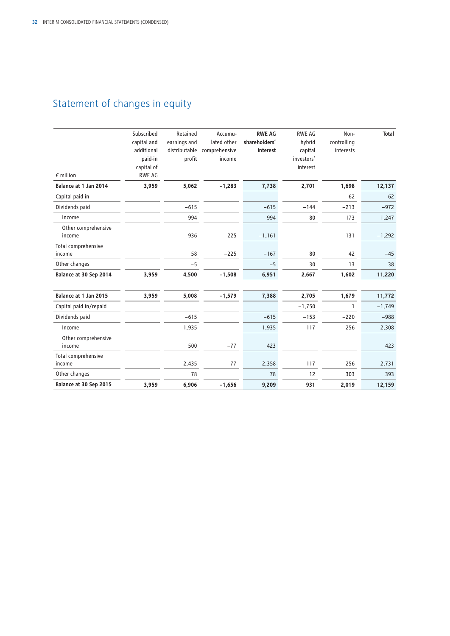## Statement of changes in equity

| $\epsilon$ million            | Subscribed<br>capital and<br>additional<br>paid-in<br>capital of<br><b>RWE AG</b> | Retained<br>earnings and<br>profit | Accumu-<br>lated other<br>distributable comprehensive<br>income | <b>RWE AG</b><br>shareholders'<br>interest | <b>RWE AG</b><br>hybrid<br>capital<br>investors'<br>interest | Non-<br>controlling<br>interests | <b>Total</b> |
|-------------------------------|-----------------------------------------------------------------------------------|------------------------------------|-----------------------------------------------------------------|--------------------------------------------|--------------------------------------------------------------|----------------------------------|--------------|
| Balance at 1 Jan 2014         | 3,959                                                                             | 5,062                              | $-1,283$                                                        | 7,738                                      | 2,701                                                        | 1,698                            | 12,137       |
| Capital paid in               |                                                                                   |                                    |                                                                 |                                            |                                                              | 62                               | 62           |
| Dividends paid                |                                                                                   | $-615$                             |                                                                 | $-615$                                     | $-144$                                                       | $-213$                           | $-972$       |
| Income                        |                                                                                   | 994                                |                                                                 | 994                                        | 80                                                           | 173                              | 1,247        |
| Other comprehensive<br>income |                                                                                   | $-936$                             | $-225$                                                          | $-1,161$                                   |                                                              | $-131$                           | $-1,292$     |
| Total comprehensive<br>income |                                                                                   | 58                                 | $-225$                                                          | $-167$                                     | 80                                                           | 42                               | $-45$        |
| Other changes                 |                                                                                   | $-5$                               |                                                                 | $-5$                                       | 30                                                           | 13                               | 38           |
| Balance at 30 Sep 2014        | 3,959                                                                             | 4,500                              | $-1,508$                                                        | 6,951                                      | 2,667                                                        | 1,602                            | 11,220       |
| Balance at 1 Jan 2015         | 3,959                                                                             | 5,008                              | $-1,579$                                                        | 7,388                                      | 2,705                                                        | 1,679                            | 11,772       |
| Capital paid in/repaid        |                                                                                   |                                    |                                                                 |                                            | $-1,750$                                                     | 1                                | $-1,749$     |
| Dividends paid                |                                                                                   | $-615$                             |                                                                 | $-615$                                     | $-153$                                                       | $-220$                           | $-988$       |
| Income                        |                                                                                   | 1,935                              |                                                                 | 1,935                                      | 117                                                          | 256                              | 2,308        |
| Other comprehensive<br>income |                                                                                   | 500                                | $-77$                                                           | 423                                        |                                                              |                                  | 423          |
| Total comprehensive<br>income |                                                                                   | 2,435                              | $-77$                                                           | 2,358                                      | 117                                                          | 256                              | 2,731        |
| Other changes                 |                                                                                   | 78                                 |                                                                 | 78                                         | 12                                                           | 303                              | 393          |
| Balance at 30 Sep 2015        | 3,959                                                                             | 6,906                              | $-1,656$                                                        | 9,209                                      | 931                                                          | 2,019                            | 12,159       |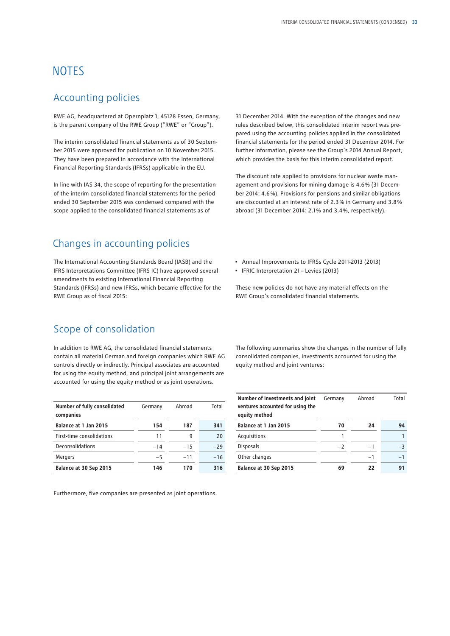## **NOTES**

### Accounting policies

RWE AG, headquartered at Opernplatz 1, 45128 Essen, Germany, is the parent company of the RWE Group ("RWE" or "Group").

The interim consolidated financial statements as of 30 September 2015 were approved for publication on 10 November 2015. They have been prepared in accordance with the International Financial Reporting Standards (IFRSs) applicable in the EU.

In line with IAS 34, the scope of reporting for the presentation of the interim consolidated financial statements for the period ended 30 September 2015 was condensed compared with the scope applied to the consolidated financial statements as of

### Changes in accounting policies

The International Accounting Standards Board (IASB) and the IFRS Interpretations Committee (IFRS IC) have approved several amendments to existing International Financial Reporting Standards (IFRSs) and new IFRSs, which became effective for the RWE Group as of fiscal 2015:

31 December 2014. With the exception of the changes and new rules described below, this consolidated interim report was prepared using the accounting policies applied in the consolidated financial statements for the period ended 31 December 2014. For further information, please see the Group's 2014 Annual Report, which provides the basis for this interim consolidated report.

The discount rate applied to provisions for nuclear waste management and provisions for mining damage is 4.6 % (31 December 2014: 4.6 %). Provisions for pensions and similar obligations are discounted at an interest rate of 2.3 % in Germany and 3.8 % abroad (31 December 2014: 2.1 % and 3.4 %, respectively).

- Annual Improvements to IFRSs Cycle 2011-2013 (2013)
- IFRIC Interpretation 21 Levies (2013)

These new policies do not have any material effects on the RWE Group's consolidated financial statements.

## Scope of consolidation

In addition to RWE AG, the consolidated financial statements contain all material German and foreign companies which RWE AG controls directly or indirectly. Principal associates are accounted for using the equity method, and principal joint arrangements are accounted for using the equity method or as joint operations.

| Number of fully consolidated<br>companies | Germany | Abroad | Total |
|-------------------------------------------|---------|--------|-------|
| Balance at 1 Jan 2015                     | 154     | 187    | 341   |
| First-time consolidations                 | 11      | g      | 20    |
| Deconsolidations                          | $-14$   | $-15$  | $-29$ |
| <b>Mergers</b>                            | $-5$    | $-11$  | $-16$ |
| Balance at 30 Sep 2015                    | 146     | 170    | 316   |

Furthermore, five companies are presented as joint operations.

The following summaries show the changes in the number of fully consolidated companies, investments accounted for using the equity method and joint ventures:

| Number of investments and joint<br>ventures accounted for using the<br>equity method | Germany | Abroad | Total |
|--------------------------------------------------------------------------------------|---------|--------|-------|
| Balance at 1 Jan 2015                                                                | 70      | 24     | 94    |
| Acquisitions                                                                         |         |        |       |
| <b>Disposals</b>                                                                     | $-2$    | $-1$   | $-3$  |
| Other changes                                                                        |         | $-1$   | $-1$  |
| Balance at 30 Sep 2015                                                               | 69      | 22     | 91    |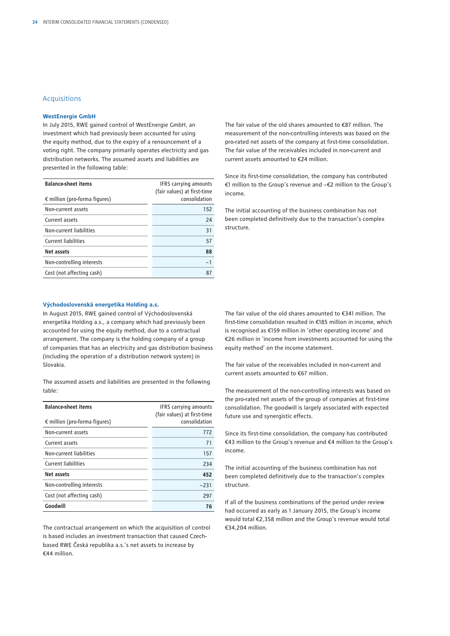#### Acquisitions

#### **WestEnergie GmbH**

In July 2015, RWE gained control of WestEnergie GmbH, an investment which had previously been accounted for using the equity method, due to the expiry of a renouncement of a voting right. The company primarily operates electricity and gas distribution networks. The assumed assets and liabilities are presented in the following table:

| <b>Balance-sheet items</b><br>$\epsilon$ million (pro-forma figures) | <b>IFRS</b> carrying amounts<br>(fair values) at first-time<br>consolidation |
|----------------------------------------------------------------------|------------------------------------------------------------------------------|
| Non-current assets                                                   | 152                                                                          |
| Current assets                                                       | 24                                                                           |
| Non-current liabilities                                              | 31                                                                           |
| <b>Current liabilities</b>                                           | 57                                                                           |
| Net assets                                                           | 88                                                                           |
| Non-controlling interests                                            | $-1$                                                                         |
| Cost (not affecting cash)                                            | 87                                                                           |

pro-rated net assets of the company at first-time consolidation. The fair value of the receivables included in non-current and current assets amounted to €24 million.

Since its first-time consolidation, the company has contributed €1 million to the Group's revenue and −€2 million to the Group's income.

The fair value of the old shares amounted to €87 million. The measurement of the non-controlling interests was based on the

The initial accounting of the business combination has not been completed definitively due to the transaction's complex structure.

#### **Východoslovenská energetika Holding a.s.**

In August 2015, RWE gained control of Východoslovenská energetika Holding a.s., a company which had previously been accounted for using the equity method, due to a contractual arrangement. The company is the holding company of a group of companies that has an electricity and gas distribution business (including the operation of a distribution network system) in Slovakia.

The assumed assets and liabilities are presented in the following table:

| <b>Balance-sheet items</b><br>$\epsilon$ million (pro-forma figures) | <b>IFRS</b> carrying amounts<br>(fair values) at first-time<br>consolidation |
|----------------------------------------------------------------------|------------------------------------------------------------------------------|
| Non-current assets                                                   | 772                                                                          |
| Current assets                                                       | 71                                                                           |
| Non-current liabilities                                              | 157                                                                          |
| <b>Current liabilities</b>                                           | 234                                                                          |
| Net assets                                                           | 452                                                                          |
| Non-controlling interests                                            | $-231$                                                                       |
| Cost (not affecting cash)                                            | 297                                                                          |
| Goodwill                                                             | 76                                                                           |

The contractual arrangement on which the acquisition of control is based includes an investment transaction that caused Czechbased RWE Česká republika a.s.'s net assets to increase by €44 million.

The fair value of the old shares amounted to €341 million. The first-time consolidation resulted in €185 million in income, which is recognised as €159 million in 'other operating income' and €26 million in 'income from investments accounted for using the equity method' on the income statement.

The fair value of the receivables included in non-current and current assets amounted to €67 million.

The measurement of the non-controlling interests was based on the pro-rated net assets of the group of companies at first-time consolidation. The goodwill is largely associated with expected future use and synergistic effects.

Since its first-time consolidation, the company has contributed €43 million to the Group's revenue and €4 million to the Group's income.

The initial accounting of the business combination has not been completed definitively due to the transaction's complex structure.

If all of the business combinations of the period under review had occurred as early as 1 January 2015, the Group's income would total €2,358 million and the Group's revenue would total €34,204 million.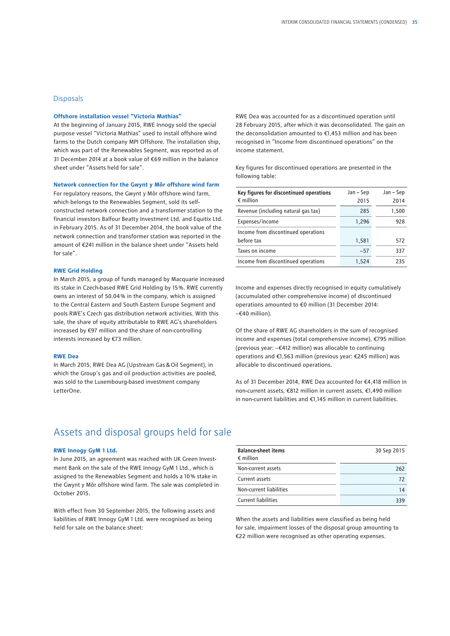#### **Disposals**

#### **Offshore installation vessel "Victoria Mathias"**

At the beginning of January 2015, RWE Innogy sold the special purpose vessel "Victoria Mathias" used to install offshore wind farms to the Dutch company MPI Offshore. The installation ship, which was part of the Renewables Segment, was reported as of 31 December 2014 at a book value of €69 million in the balance sheet under "Assets held for sale".

#### **Network connection for the Gwynt y Môr offshore wind farm**

For regulatory reasons, the Gwynt y Môr offshore wind farm, which belongs to the Renewables Segment, sold its selfconstructed network connection and a transformer station to the financial investors Balfour Beatty Investment Ltd. and Equitix Ltd. in February 2015. As of 31 December 2014, the book value of the network connection and transformer station was reported in the amount of €241 million in the balance sheet under "Assets held for sale".

#### **RWE Grid Holding**

In March 2015, a group of funds managed by Macquarie increased its stake in Czech-based RWE Grid Holding by 15 %. RWE currently owns an interest of 50.04 % in the company, which is assigned to the Central Eastern and South Eastern Europe Segment and pools RWE's Czech gas distribution network activities. With this sale, the share of equity attributable to RWE AG's shareholders increased by €97 million and the share of non-controlling interests increased by €73 million.

#### **RWE Dea**

In March 2015, RWE Dea AG (Upstream Gas&Oil Segment), in which the Group's gas and oil production activities are pooled, was sold to the Luxembourg-based investment company LetterOne.

RWE Dea was accounted for as a discontinued operation until 28 February 2015, after which it was deconsolidated. The gain on the deconsolidation amounted to €1,453 million and has been recognised in "Income from discontinued operations" on the income statement.

Key figures for discontinued operations are presented in the following table:

| Key figures for discontinued operations<br>$\epsilon$ million | Jan – Sep<br>2015 | Jan – Sep<br>2014 |
|---------------------------------------------------------------|-------------------|-------------------|
| Revenue (including natural gas tax)                           | 285               | 1,500             |
| Expenses/income                                               | 1,296             | 928               |
| Income from discontinued operations                           |                   |                   |
| before tax                                                    | 1,581             | 572               |
| Taxes on income                                               | $-57$             | 337               |
| Income from discontinued operations                           | 1.524             | 235               |

Income and expenses directly recognised in equity cumulatively (accumulated other comprehensive income) of discontinued operations amounted to €0 million (31 December 2014: −€40 million).

Of the share of RWE AG shareholders in the sum of recognised income and expenses (total comprehensive income), €795 million (previous year: −€412 million) was allocable to continuing operations and €1,563 million (previous year: €245 million) was allocable to discontinued operations.

As of 31 December 2014, RWE Dea accounted for €4,418 million in non-current assets, €812 million in current assets, €1,490 million in non-current liabilities and €1,145 million in current liabilities.

### Assets and disposal groups held for sale

#### **RWE Innogy GyM 1 Ltd.**

In June 2015, an agreement was reached with UK Green Investment Bank on the sale of the RWE Innogy GyM 1 Ltd., which is assigned to the Renewables Segment and holds a 10 % stake in the Gwynt y Môr offshore wind farm. The sale was completed in October 2015.

With effect from 30 September 2015, the following assets and liabilities of RWE Innogy GyM 1 Ltd. were recognised as being held for sale on the balance sheet:

| <b>Balance-sheet items</b><br>$\epsilon$ million | 30 Sep 2015 |
|--------------------------------------------------|-------------|
| Non-current assets                               | 262         |
| Current assets                                   | 72          |
| Non-current liabilities                          | 14          |
| <b>Current liabilities</b>                       | 339         |

When the assets and liabilities were classified as being held for sale, impairment losses of the disposal group amounting to €22 million were recognised as other operating expenses.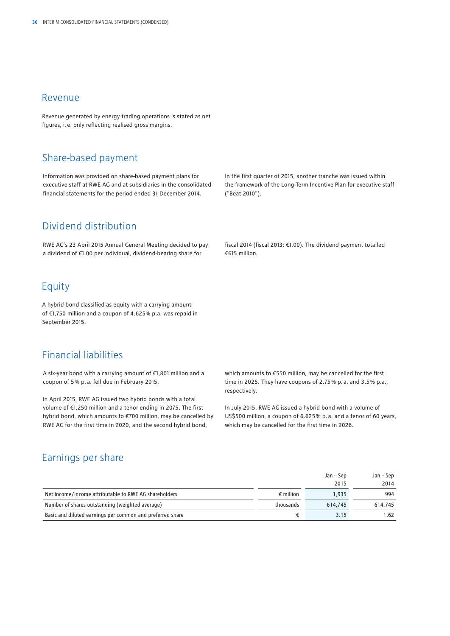#### Revenue

Revenue generated by energy trading operations is stated as net figures, i.e. only reflecting realised gross margins.

## Share-based payment

Information was provided on share-based payment plans for executive staff at RWE AG and at subsidiaries in the consolidated financial statements for the period ended 31 December 2014.

## Dividend distribution

RWE AG's 23 April 2015 Annual General Meeting decided to pay a dividend of €1.00 per individual, dividend-bearing share for

### Equity

A hybrid bond classified as equity with a carrying amount of €1,750 million and a coupon of 4.625% p.a. was repaid in September 2015.

### Financial liabilities

A six-year bond with a carrying amount of €1,801 million and a coupon of 5 % p.a. fell due in February 2015.

In April 2015, RWE AG issued two hybrid bonds with a total volume of €1,250 million and a tenor ending in 2075. The first hybrid bond, which amounts to €700 million, may be cancelled by RWE AG for the first time in 2020, and the second hybrid bond,

In the first quarter of 2015, another tranche was issued within the framework of the Long-Term Incentive Plan for executive staff ("Beat 2010").

fiscal 2014 (fiscal 2013: €1.00). The dividend payment totalled €615 million.

which amounts to €550 million, may be cancelled for the first time in 2025. They have coupons of 2.75 % p.a. and 3.5 % p.a., respectively.

In July 2015, RWE AG issued a hybrid bond with a volume of US\$500 million, a coupon of 6.625 % p.a. and a tenor of 60 years, which may be cancelled for the first time in 2026.

### Earnings per share

|                                                           |                    | Jan – Sep | Jan – Sep |
|-----------------------------------------------------------|--------------------|-----------|-----------|
|                                                           |                    | 2015      | 2014      |
| Net income/income attributable to RWE AG shareholders     | $\epsilon$ million | 1.935     | 994       |
| Number of shares outstanding (weighted average)           | thousands          | 614,745   | 614.745   |
| Basic and diluted earnings per common and preferred share |                    | 3.15      | 1.62      |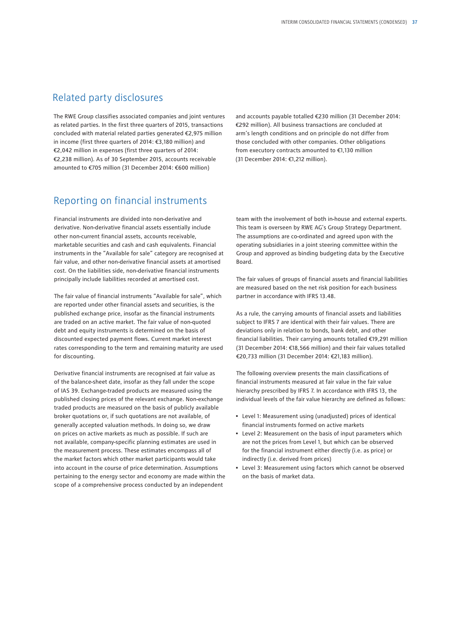### Related party disclosures

The RWE Group classifies associated companies and joint ventures as related parties. In the first three quarters of 2015, transactions concluded with material related parties generated €2,975 million in income (first three quarters of 2014: €3,180 million) and €2,042 million in expenses (first three quarters of 2014: €2,238 million). As of 30 September 2015, accounts receivable amounted to €705 million (31 December 2014: €600 million)

### Reporting on financial instruments

Financial instruments are divided into non-derivative and derivative. Non-derivative financial assets essentially include other non-current financial assets, accounts receivable, marketable securities and cash and cash equivalents. Financial instruments in the "Available for sale" category are recognised at fair value, and other non-derivative financial assets at amortised cost. On the liabilities side, non-derivative financial instruments principally include liabilities recorded at amortised cost.

The fair value of financial instruments "Available for sale", which are reported under other financial assets and securities, is the published exchange price, insofar as the financial instruments are traded on an active market. The fair value of non-quoted debt and equity instruments is determined on the basis of discounted expected payment flows. Current market interest rates corresponding to the term and remaining maturity are used for discounting.

Derivative financial instruments are recognised at fair value as of the balance-sheet date, insofar as they fall under the scope of IAS 39. Exchange-traded products are measured using the published closing prices of the relevant exchange. Non-exchange traded products are measured on the basis of publicly available broker quotations or, if such quotations are not available, of generally accepted valuation methods. In doing so, we draw on prices on active markets as much as possible. If such are not available, company-specific planning estimates are used in the measurement process. These estimates encompass all of the market factors which other market participants would take into account in the course of price determination. Assumptions pertaining to the energy sector and economy are made within the scope of a comprehensive process conducted by an independent

and accounts payable totalled €230 million (31 December 2014: €292 million). All business transactions are concluded at arm's length conditions and on principle do not differ from those concluded with other companies. Other obligations from executory contracts amounted to €1,130 million (31 December 2014: €1,212 million).

team with the involvement of both in-house and external experts. This team is overseen by RWE AG's Group Strategy Department. The assumptions are co-ordinated and agreed upon with the operating subsidiaries in a joint steering committee within the Group and approved as binding budgeting data by the Executive Board.

The fair values of groups of financial assets and financial liabilities are measured based on the net risk position for each business partner in accordance with IFRS 13.48.

As a rule, the carrying amounts of financial assets and liabilities subject to IFRS 7 are identical with their fair values. There are deviations only in relation to bonds, bank debt, and other financial liabilities. Their carrying amounts totalled €19,291 million (31 December 2014: €18,566 million) and their fair values totalled €20,733 million (31 December 2014: €21,183 million).

The following overview presents the main classifications of financial instruments measured at fair value in the fair value hierarchy prescribed by IFRS 7. In accordance with IFRS 13, the individual levels of the fair value hierarchy are defined as follows:

- Level 1: Measurement using (unadjusted) prices of identical financial instruments formed on active markets
- Level 2: Measurement on the basis of input parameters which are not the prices from Level 1, but which can be observed for the financial instrument either directly (i.e. as price) or indirectly (i.e. derived from prices)
- Level 3: Measurement using factors which cannot be observed on the basis of market data.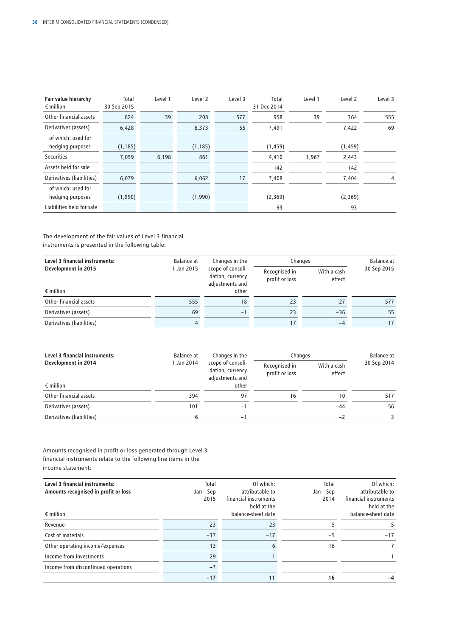| Fair value hierarchy<br>$\epsilon$ million | Total<br>30 Sep 2015 | Level 1 | Level 2  | Level 3 | Total<br>31 Dec 2014 | Level 1 | Level 2  | Level 3 |
|--------------------------------------------|----------------------|---------|----------|---------|----------------------|---------|----------|---------|
| Other financial assets                     | 824                  | 39      | 208      | 577     | 958                  | 39      | 364      | 555     |
| Derivatives (assets)                       | 6,428                |         | 6,373    | 55      | 7,491                |         | 7,422    | 69      |
| of which: used for<br>hedging purposes     | (1, 185)             |         | (1, 185) |         | (1, 459)             |         | (1, 459) |         |
| <b>Securities</b>                          | 7,059                | 6,198   | 861      |         | 4,410                | 1.967   | 2,443    |         |
| Assets held for sale                       |                      |         |          |         | 142                  |         | 142      |         |
| Derivatives (liabilities)                  | 6,079                |         | 6,062    | 17      | 7,408                |         | 7,404    | 4       |
| of which: used for<br>hedging purposes     | (1,990)              |         | (1,990)  |         | (2,369)              |         | (2,369)  |         |
| Liabilities held for sale                  |                      |         |          |         | 93                   |         | 93       |         |

#### The development of the fair values of Level 3 financial instruments is presented in the following table:

| Level 3 financial instruments: | Balance at | Changes in the<br>scope of consoli-<br>dation, currency<br>adjustments and | Changes                         | Balance at            |             |
|--------------------------------|------------|----------------------------------------------------------------------------|---------------------------------|-----------------------|-------------|
| Development in 2015            | 1 Jan 2015 |                                                                            | Recognised in<br>profit or loss | With a cash<br>effect | 30 Sep 2015 |
| $\epsilon$ million             |            | other                                                                      |                                 |                       |             |
| Other financial assets         | 555        | 18                                                                         | $-23$                           | 27                    | 577         |
| Derivatives (assets)           | 69         | $-1$                                                                       | 23                              | $-36$                 | 55          |
| Derivatives (liabilities)      | 4          |                                                                            | 17                              | $-4$                  | 17          |

| Level 3 financial instruments: | Balance at | Changes in the | Changes | Balance at                                               |                                 |                       |             |
|--------------------------------|------------|----------------|---------|----------------------------------------------------------|---------------------------------|-----------------------|-------------|
| Development in 2014            | 1 Jan 2014 |                |         | scope of consoli-<br>dation, currency<br>adjustments and | Recognised in<br>profit or loss | With a cash<br>effect | 30 Sep 2014 |
| $\epsilon$ million             |            | other          |         |                                                          |                                 |                       |             |
| Other financial assets         | 394        | 97             | 16      | 10                                                       | 517                             |                       |             |
| Derivatives (assets)           | 101        | $-1$           |         | $-44$                                                    | 56                              |                       |             |
| Derivatives (liabilities)      | 6          | -              |         | $-2$                                                     |                                 |                       |             |

Amounts recognised in profit or loss generated through Level 3 financial instruments relate to the following line items in the income statement:

| Level 3 financial instruments:       | Total     | Of which:             | Total     | Of which:             |
|--------------------------------------|-----------|-----------------------|-----------|-----------------------|
| Amounts recognised in profit or loss | Jan – Sep | attributable to       | Jan – Sep | attributable to       |
|                                      | 2015      | financial instruments | 2014      | financial instruments |
|                                      |           | held at the           |           | held at the           |
| $\epsilon$ million                   |           | balance-sheet date    |           | balance-sheet date    |
| Revenue                              | 23        | 23                    |           |                       |
| Cost of materials                    | $-17$     | $-17$                 | $-5$      | $-17$                 |
| Other operating income/expenses      | 13        | 6                     | 16        |                       |
| Income from investments              | $-29$     | -                     |           |                       |
| Income from discontinued operations  | $-7$      |                       |           |                       |
|                                      | $-17$     | 11                    | 16        | -4                    |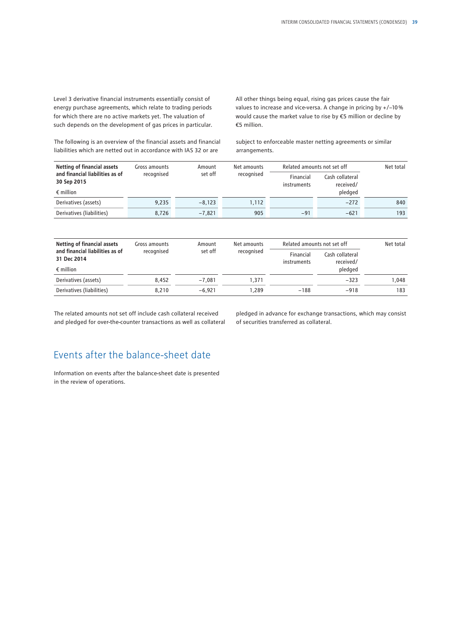Level 3 derivative financial instruments essentially consist of energy purchase agreements, which relate to trading periods for which there are no active markets yet. The valuation of such depends on the development of gas prices in particular.

The following is an overview of the financial assets and financial liabilities which are netted out in accordance with IAS 32 or are

All other things being equal, rising gas prices cause the fair values to increase and vice-versa. A change in pricing by +/−10 % would cause the market value to rise by €5 million or decline by €5 million.

subject to enforceable master netting agreements or similar arrangements.

| <b>Netting of financial assets</b><br>and financial liabilities as of<br>30 Sep 2015 | Gross amounts<br>recognised | Amount<br>set off | Net amounts<br>recognised | Related amounts not set off |                              | Net total |
|--------------------------------------------------------------------------------------|-----------------------------|-------------------|---------------------------|-----------------------------|------------------------------|-----------|
|                                                                                      |                             |                   |                           | Financial<br>instruments    | Cash collateral<br>received/ |           |
| $\epsilon$ million                                                                   |                             |                   |                           |                             | pledged                      |           |
| Derivatives (assets)                                                                 | 9,235                       | $-8,123$          | 1,112                     |                             | $-272$                       | 840       |
| Derivatives (liabilities)                                                            | 8,726                       | $-7,821$          | 905                       | $-91$                       | $-621$                       | 193       |
|                                                                                      |                             |                   |                           |                             |                              |           |
|                                                                                      |                             |                   |                           |                             |                              |           |

| Netting of financial assets<br>and financial liabilities as of<br>31 Dec 2014 | Gross amounts<br>recognised | Amount<br>set off | Net amounts<br>recognised | Related amounts not set off |                              | Net total |
|-------------------------------------------------------------------------------|-----------------------------|-------------------|---------------------------|-----------------------------|------------------------------|-----------|
|                                                                               |                             |                   |                           | Financial<br>instruments    | Cash collateral<br>received/ |           |
| $\epsilon$ million                                                            |                             |                   |                           |                             | pledged                      |           |
| Derivatives (assets)                                                          | 8.452                       | $-7.081$          | 1.371                     |                             | $-323$                       | 1.048     |
| Derivatives (liabilities)                                                     | 8.210                       | $-6.921$          | 1.289                     | $-188$                      | $-918$                       | 183       |

The related amounts not set off include cash collateral received and pledged for over-the-counter transactions as well as collateral pledged in advance for exchange transactions, which may consist of securities transferred as collateral.

## Events after the balance-sheet date

Information on events after the balance-sheet date is presented in the review of operations.